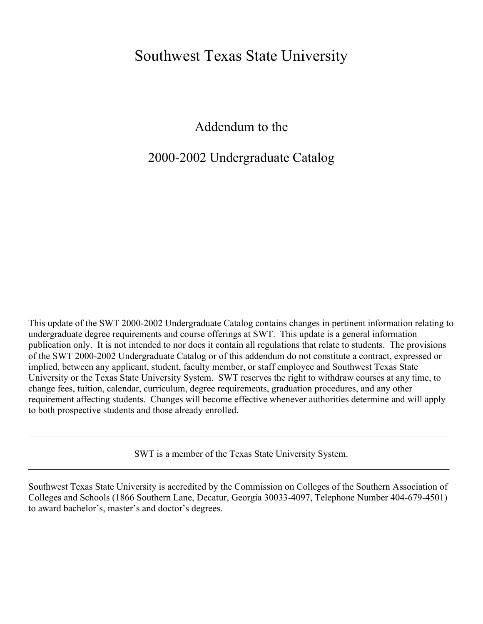## Southwest Texas State University

Addendum to the

## 2000-2002 Undergraduate Catalog

This update of the SWT 2000-2002 Undergraduate Catalog contains changes in pertinent information relating to undergraduate degree requirements and course offerings at SWT. This update is a general information publication only. It is not intended to nor does it contain all regulations that relate to students. The provisions of the SWT 2000-2002 Undergraduate Catalog or of this addendum do not constitute a contract, expressed or implied, between any applicant, student, faculty member, or staff employee and Southwest Texas State University or the Texas State University System. SWT reserves the right to withdraw courses at any time, to change fees, tuition, calendar, curriculum, degree requirements, graduation procedures, and any other requirement affecting students. Changes will become effective whenever authorities determine and will apply to both prospective students and those already enrolled.

SWT is a member of the Texas State University System.  $\mathcal{L}_\mathcal{L} = \mathcal{L}_\mathcal{L} = \mathcal{L}_\mathcal{L} = \mathcal{L}_\mathcal{L} = \mathcal{L}_\mathcal{L} = \mathcal{L}_\mathcal{L} = \mathcal{L}_\mathcal{L} = \mathcal{L}_\mathcal{L} = \mathcal{L}_\mathcal{L} = \mathcal{L}_\mathcal{L} = \mathcal{L}_\mathcal{L} = \mathcal{L}_\mathcal{L} = \mathcal{L}_\mathcal{L} = \mathcal{L}_\mathcal{L} = \mathcal{L}_\mathcal{L} = \mathcal{L}_\mathcal{L} = \mathcal{L}_\mathcal{L}$ 

 $\mathcal{L}_\mathcal{L} = \mathcal{L}_\mathcal{L} = \mathcal{L}_\mathcal{L} = \mathcal{L}_\mathcal{L} = \mathcal{L}_\mathcal{L} = \mathcal{L}_\mathcal{L} = \mathcal{L}_\mathcal{L} = \mathcal{L}_\mathcal{L} = \mathcal{L}_\mathcal{L} = \mathcal{L}_\mathcal{L} = \mathcal{L}_\mathcal{L} = \mathcal{L}_\mathcal{L} = \mathcal{L}_\mathcal{L} = \mathcal{L}_\mathcal{L} = \mathcal{L}_\mathcal{L} = \mathcal{L}_\mathcal{L} = \mathcal{L}_\mathcal{L}$ 

Southwest Texas State University is accredited by the Commission on Colleges of the Southern Association of Colleges and Schools (1866 Southern Lane, Decatur, Georgia 30033-4097, Telephone Number 404-679-4501) to award bachelor's, master's and doctor's degrees.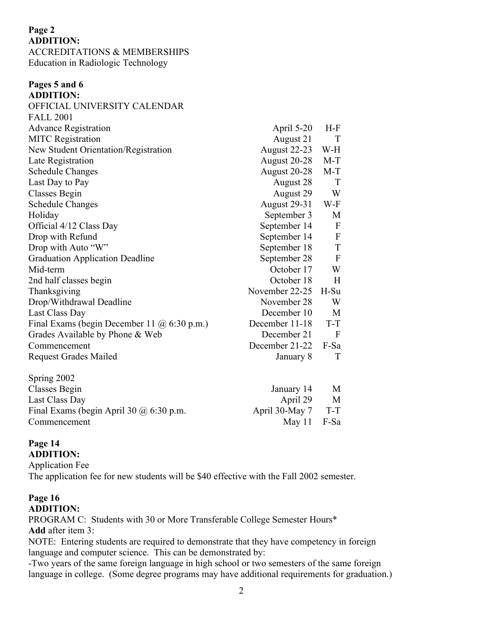#### **Page 2 ADDITION:** ACCREDITATIONS & MEMBERSHIPS Education in Radiologic Technology

| Pages 5 and 6                                      |                     |              |
|----------------------------------------------------|---------------------|--------------|
| <b>ADDITION:</b>                                   |                     |              |
| OFFICIAL UNIVERSITY CALENDAR                       |                     |              |
| <b>FALL 2001</b>                                   |                     |              |
| <b>Advance Registration</b>                        | April 5-20          | $H-F$        |
| <b>MITC</b> Registration                           | August 21           | T            |
| New Student Orientation/Registration               | August 22-23        | W-H          |
| Late Registration                                  | August 20-28        | $M-T$        |
| <b>Schedule Changes</b>                            | August 20-28        | $M-T$        |
| Last Day to Pay                                    | August 28           | T            |
| <b>Classes Begin</b>                               | August 29           | W            |
| <b>Schedule Changes</b>                            | <b>August 29-31</b> | W-F          |
| Holiday                                            | September 3         | M            |
| Official 4/12 Class Day                            | September 14        | $\mathbf{F}$ |
| Drop with Refund                                   | September 14        | $\mathbf{F}$ |
| Drop with Auto "W"                                 | September 18        | T            |
| <b>Graduation Application Deadline</b>             | September 28        | $\mathbf{F}$ |
| Mid-term                                           | October 17          | W            |
| 2nd half classes begin                             | October 18          | H            |
| Thanksgiving                                       | November 22-25      | $H-Su$       |
| Drop/Withdrawal Deadline                           | November 28         | W            |
| Last Class Day                                     | December 10         | M            |
| Final Exams (begin December 11 $\omega$ 6:30 p.m.) | December 11-18      | T-T          |
| Grades Available by Phone & Web                    | December 21         | $\mathbf{F}$ |
| Commencement                                       | December 21-22      | F-Sa         |
| <b>Request Grades Mailed</b>                       | January 8           | T            |
| Spring 2002                                        |                     |              |
| Classes Begin                                      | January 14          | M            |
| Last Class Day                                     | April 29            | M            |
| Final Exams (begin April 30 $@$ 6:30 p.m.          | April 30-May 7      | T-T          |

#### **Page 14 ADDITION:**

Application Fee The application fee for new students will be \$40 effective with the Fall 2002 semester.

Commencement May 11 F-Sa

#### **Page 16 ADDITION:**

PROGRAM C: Students with 30 or More Transferable College Semester Hours\* **Add** after item 3:

NOTE: Entering students are required to demonstrate that they have competency in foreign language and computer science. This can be demonstrated by:

-Two years of the same foreign language in high school or two semesters of the same foreign language in college. (Some degree programs may have additional requirements for graduation.)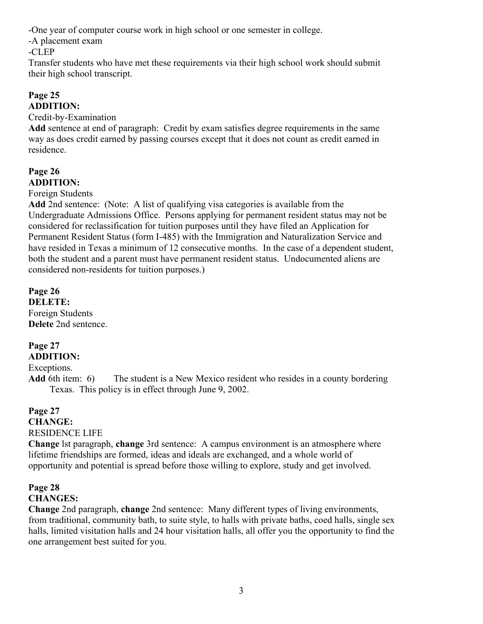-One year of computer course work in high school or one semester in college.

-A placement exam

-CLEP

Transfer students who have met these requirements via their high school work should submit their high school transcript.

### **Page 25 ADDITION:**

Credit-by-Examination

**Add** sentence at end of paragraph: Credit by exam satisfies degree requirements in the same way as does credit earned by passing courses except that it does not count as credit earned in residence.

### **Page 26 ADDITION:**

#### Foreign Students

**Add** 2nd sentence: (Note: A list of qualifying visa categories is available from the Undergraduate Admissions Office. Persons applying for permanent resident status may not be considered for reclassification for tuition purposes until they have filed an Application for Permanent Resident Status (form I-485) with the Immigration and Naturalization Service and have resided in Texas a minimum of 12 consecutive months. In the case of a dependent student, both the student and a parent must have permanent resident status. Undocumented aliens are considered non-residents for tuition purposes.)

**Page 26 DELETE:** Foreign Students **Delete** 2nd sentence.

## **Page 27**

### **ADDITION:**

Exceptions.

**Add** 6th item: 6) The student is a New Mexico resident who resides in a county bordering Texas. This policy is in effect through June 9, 2002.

### **Page 27 CHANGE:** RESIDENCE LIFE

**Change** lst paragraph, **change** 3rd sentence: A campus environment is an atmosphere where lifetime friendships are formed, ideas and ideals are exchanged, and a whole world of opportunity and potential is spread before those willing to explore, study and get involved.

### **Page 28 CHANGES:**

**Change** 2nd paragraph, **change** 2nd sentence: Many different types of living environments, from traditional, community bath, to suite style, to halls with private baths, coed halls, single sex halls, limited visitation halls and 24 hour visitation halls, all offer you the opportunity to find the one arrangement best suited for you.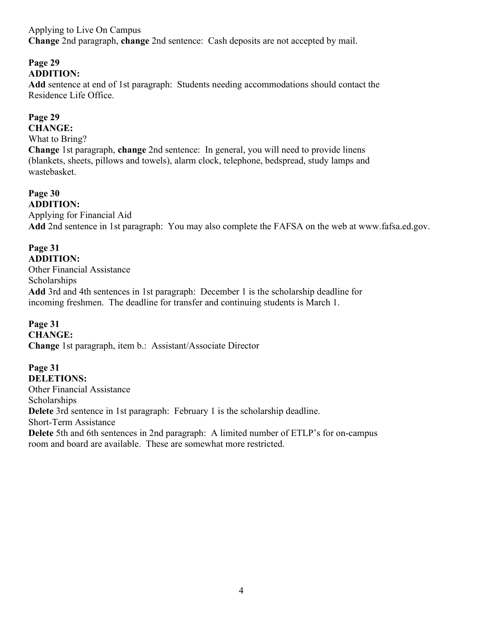Applying to Live On Campus **Change** 2nd paragraph, **change** 2nd sentence: Cash deposits are not accepted by mail.

#### **Page 29 ADDITION:**

**Add** sentence at end of 1st paragraph: Students needing accommodations should contact the Residence Life Office.

### **Page 29**

**CHANGE:** What to Bring? **Change** 1st paragraph, **change** 2nd sentence: In general, you will need to provide linens (blankets, sheets, pillows and towels), alarm clock, telephone, bedspread, study lamps and wastebasket.

**Page 30 ADDITION:** Applying for Financial Aid **Add** 2nd sentence in 1st paragraph: You may also complete the FAFSA on the web at www.fafsa.ed.gov.

**Page 31 ADDITION:**

Other Financial Assistance **Scholarships Add** 3rd and 4th sentences in 1st paragraph: December 1 is the scholarship deadline for incoming freshmen. The deadline for transfer and continuing students is March 1.

**Page 31 CHANGE: Change** 1st paragraph, item b.: Assistant/Associate Director

**Page 31 DELETIONS:** Other Financial Assistance **Scholarships Delete** 3rd sentence in 1st paragraph: February 1 is the scholarship deadline. Short-Term Assistance **Delete** 5th and 6th sentences in 2nd paragraph: A limited number of ETLP's for on-campus room and board are available. These are somewhat more restricted.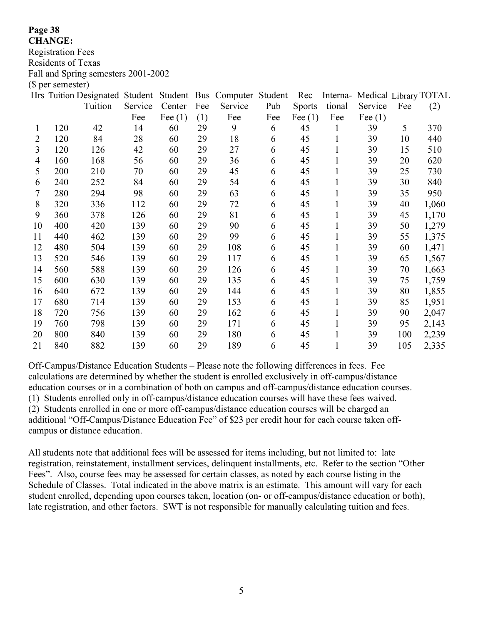**CHANGE:**

Registration Fees

Residents of Texas

Fall and Spring semesters 2001-2002

(\$ per semester)

|                |     | Hrs Tuition Designated Student |         |           |     | Student Bus Computer Student |     | Rec           |        | Interna- Medical Library TOTAL |     |       |
|----------------|-----|--------------------------------|---------|-----------|-----|------------------------------|-----|---------------|--------|--------------------------------|-----|-------|
|                |     | Tuition                        | Service | Center    | Fee | Service                      | Pub | <b>Sports</b> | tional | Service                        | Fee | (2)   |
|                |     |                                | Fee     | Fee $(1)$ | (1) | Fee                          | Fee | Fee $(1)$     | Fee    | Fee $(1)$                      |     |       |
| 1              | 120 | 42                             | 14      | 60        | 29  | 9                            | 6   | 45            | 1      | 39                             | 5   | 370   |
| 2              | 120 | 84                             | 28      | 60        | 29  | 18                           | 6   | 45            | 1      | 39                             | 10  | 440   |
| $\overline{3}$ | 120 | 126                            | 42      | 60        | 29  | 27                           | 6   | 45            | 1      | 39                             | 15  | 510   |
| 4              | 160 | 168                            | 56      | 60        | 29  | 36                           | 6   | 45            |        | 39                             | 20  | 620   |
| 5              | 200 | 210                            | 70      | 60        | 29  | 45                           | 6   | 45            |        | 39                             | 25  | 730   |
| 6              | 240 | 252                            | 84      | 60        | 29  | 54                           | 6   | 45            |        | 39                             | 30  | 840   |
| 7              | 280 | 294                            | 98      | 60        | 29  | 63                           | 6   | 45            |        | 39                             | 35  | 950   |
| 8              | 320 | 336                            | 112     | 60        | 29  | 72                           | 6   | 45            | 1      | 39                             | 40  | 1,060 |
| 9              | 360 | 378                            | 126     | 60        | 29  | 81                           | 6   | 45            | 1      | 39                             | 45  | 1,170 |
| 10             | 400 | 420                            | 139     | 60        | 29  | 90                           | 6   | 45            | 1      | 39                             | 50  | 1,279 |
| 11             | 440 | 462                            | 139     | 60        | 29  | 99                           | 6   | 45            | 1      | 39                             | 55  | 1,375 |
| 12             | 480 | 504                            | 139     | 60        | 29  | 108                          | 6   | 45            | 1      | 39                             | 60  | 1,471 |
| 13             | 520 | 546                            | 139     | 60        | 29  | 117                          | 6   | 45            | 1      | 39                             | 65  | 1,567 |
| 14             | 560 | 588                            | 139     | 60        | 29  | 126                          | 6   | 45            |        | 39                             | 70  | 1,663 |
| 15             | 600 | 630                            | 139     | 60        | 29  | 135                          | 6   | 45            | 1      | 39                             | 75  | 1,759 |
| 16             | 640 | 672                            | 139     | 60        | 29  | 144                          | 6   | 45            | 1      | 39                             | 80  | 1,855 |
| 17             | 680 | 714                            | 139     | 60        | 29  | 153                          | 6   | 45            | 1      | 39                             | 85  | 1,951 |
| 18             | 720 | 756                            | 139     | 60        | 29  | 162                          | 6   | 45            |        | 39                             | 90  | 2,047 |
| 19             | 760 | 798                            | 139     | 60        | 29  | 171                          | 6   | 45            | 1      | 39                             | 95  | 2,143 |
| 20             | 800 | 840                            | 139     | 60        | 29  | 180                          | 6   | 45            | 1      | 39                             | 100 | 2,239 |
| 21             | 840 | 882                            | 139     | 60        | 29  | 189                          | 6   | 45            | 1      | 39                             | 105 | 2,335 |

Off-Campus/Distance Education Students – Please note the following differences in fees. Fee calculations are determined by whether the student is enrolled exclusively in off-campus/distance education courses or in a combination of both on campus and off-campus/distance education courses. (1) Students enrolled only in off-campus/distance education courses will have these fees waived. (2) Students enrolled in one or more off-campus/distance education courses will be charged an additional "Off-Campus/Distance Education Fee" of \$23 per credit hour for each course taken offcampus or distance education.

All students note that additional fees will be assessed for items including, but not limited to: late registration, reinstatement, installment services, delinquent installments, etc. Refer to the section "Other Fees". Also, course fees may be assessed for certain classes, as noted by each course listing in the Schedule of Classes. Total indicated in the above matrix is an estimate. This amount will vary for each student enrolled, depending upon courses taken, location (on- or off-campus/distance education or both), late registration, and other factors. SWT is not responsible for manually calculating tuition and fees.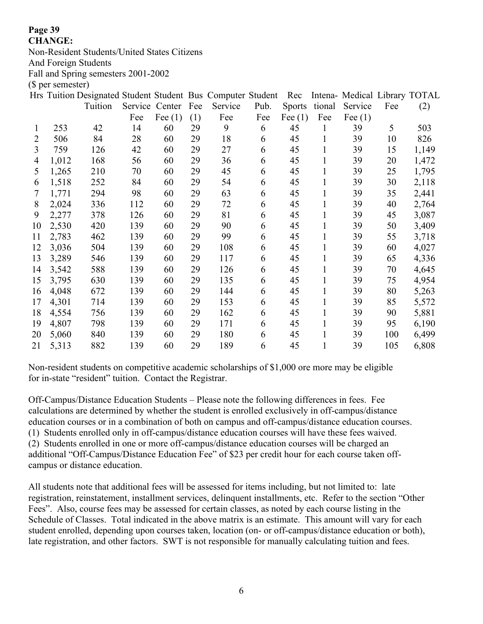#### **CHANGE:**

Non-Resident Students/United States Citizens

And Foreign Students

Fall and Spring semesters 2001-2002

(\$ per semester)

|    |       | Hrs Tuition Designated Student Student Bus Computer Student |                |           |     |         |      | Rec           |        | Intena- Medical Library TOTAL |     |       |
|----|-------|-------------------------------------------------------------|----------------|-----------|-----|---------|------|---------------|--------|-------------------------------|-----|-------|
|    |       | Tuition                                                     | Service Center |           | Fee | Service | Pub. | <b>Sports</b> | tional | Service                       | Fee | (2)   |
|    |       |                                                             | Fee            | Fee $(1)$ | (1) | Fee     | Fee  | Fee $(1)$     | Fee    | Fee $(1)$                     |     |       |
| 1  | 253   | 42                                                          | 14             | 60        | 29  | 9       | 6    | 45            | 1      | 39                            | 5   | 503   |
| 2  | 506   | 84                                                          | 28             | 60        | 29  | 18      | 6    | 45            | 1      | 39                            | 10  | 826   |
| 3  | 759   | 126                                                         | 42             | 60        | 29  | 27      | 6    | 45            |        | 39                            | 15  | 1,149 |
| 4  | 1,012 | 168                                                         | 56             | 60        | 29  | 36      | 6    | 45            |        | 39                            | 20  | 1,472 |
| 5  | 1,265 | 210                                                         | 70             | 60        | 29  | 45      | 6    | 45            |        | 39                            | 25  | 1,795 |
| 6  | 1,518 | 252                                                         | 84             | 60        | 29  | 54      | 6    | 45            |        | 39                            | 30  | 2,118 |
| 7  | 1,771 | 294                                                         | 98             | 60        | 29  | 63      | 6    | 45            |        | 39                            | 35  | 2,441 |
| 8  | 2,024 | 336                                                         | 112            | 60        | 29  | 72      | 6    | 45            |        | 39                            | 40  | 2,764 |
| 9  | 2,277 | 378                                                         | 126            | 60        | 29  | 81      | 6    | 45            |        | 39                            | 45  | 3,087 |
| 10 | 2,530 | 420                                                         | 139            | 60        | 29  | 90      | 6    | 45            |        | 39                            | 50  | 3,409 |
| 11 | 2,783 | 462                                                         | 139            | 60        | 29  | 99      | 6    | 45            |        | 39                            | 55  | 3,718 |
| 12 | 3,036 | 504                                                         | 139            | 60        | 29  | 108     | 6    | 45            |        | 39                            | 60  | 4,027 |
| 13 | 3,289 | 546                                                         | 139            | 60        | 29  | 117     | 6    | 45            |        | 39                            | 65  | 4,336 |
| 14 | 3,542 | 588                                                         | 139            | 60        | 29  | 126     | 6    | 45            |        | 39                            | 70  | 4,645 |
| 15 | 3,795 | 630                                                         | 139            | 60        | 29  | 135     | 6    | 45            |        | 39                            | 75  | 4,954 |
| 16 | 4,048 | 672                                                         | 139            | 60        | 29  | 144     | 6    | 45            | 1      | 39                            | 80  | 5,263 |
| 17 | 4,301 | 714                                                         | 139            | 60        | 29  | 153     | 6    | 45            |        | 39                            | 85  | 5,572 |
| 18 | 4,554 | 756                                                         | 139            | 60        | 29  | 162     | 6    | 45            |        | 39                            | 90  | 5,881 |
| 19 | 4,807 | 798                                                         | 139            | 60        | 29  | 171     | 6    | 45            |        | 39                            | 95  | 6,190 |
| 20 | 5,060 | 840                                                         | 139            | 60        | 29  | 180     | 6    | 45            |        | 39                            | 100 | 6,499 |
| 21 | 5,313 | 882                                                         | 139            | 60        | 29  | 189     | 6    | 45            |        | 39                            | 105 | 6,808 |

Non-resident students on competitive academic scholarships of \$1,000 ore more may be eligible for in-state "resident" tuition. Contact the Registrar.

Off-Campus/Distance Education Students – Please note the following differences in fees. Fee calculations are determined by whether the student is enrolled exclusively in off-campus/distance education courses or in a combination of both on campus and off-campus/distance education courses. (1) Students enrolled only in off-campus/distance education courses will have these fees waived. (2) Students enrolled in one or more off-campus/distance education courses will be charged an additional "Off-Campus/Distance Education Fee" of \$23 per credit hour for each course taken offcampus or distance education.

All students note that additional fees will be assessed for items including, but not limited to: late registration, reinstatement, installment services, delinquent installments, etc. Refer to the section "Other Fees". Also, course fees may be assessed for certain classes, as noted by each course listing in the Schedule of Classes. Total indicated in the above matrix is an estimate. This amount will vary for each student enrolled, depending upon courses taken, location (on- or off-campus/distance education or both), late registration, and other factors. SWT is not responsible for manually calculating tuition and fees.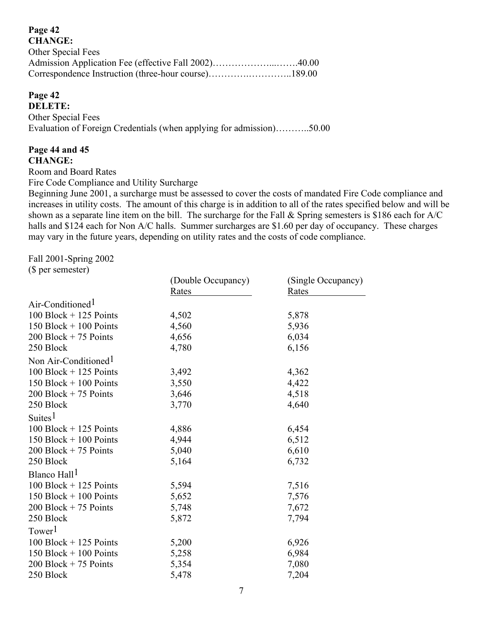| <b>CHANGE:</b>     |  |
|--------------------|--|
| Other Special Fees |  |
|                    |  |
|                    |  |

#### **Page 42 DELETE:**

Other Special Fees Evaluation of Foreign Credentials (when applying for admission)………..50.00

#### **Page 44 and 45 CHANGE:**

Room and Board Rates

Fire Code Compliance and Utility Surcharge

Beginning June 2001, a surcharge must be assessed to cover the costs of mandated Fire Code compliance and increases in utility costs. The amount of this charge is in addition to all of the rates specified below and will be shown as a separate line item on the bill. The surcharge for the Fall & Spring semesters is \$186 each for A/C halls and \$124 each for Non A/C halls. Summer surcharges are \$1.60 per day of occupancy. These charges may vary in the future years, depending on utility rates and the costs of code compliance.

Fall 2001-Spring 2002

(\$ per semester)

|                                  | (Double Occupancy) | (Single Occupancy) |
|----------------------------------|--------------------|--------------------|
|                                  | Rates              | Rates              |
| Air-Conditioned <sup>1</sup>     |                    |                    |
| $100$ Block + 125 Points         | 4,502              | 5,878              |
| $150$ Block + 100 Points         | 4,560              | 5,936              |
| $200$ Block + 75 Points          | 4,656              | 6,034              |
| 250 Block                        | 4,780              | 6,156              |
| Non Air-Conditioned <sup>1</sup> |                    |                    |
| $100$ Block + 125 Points         | 3,492              | 4,362              |
| $150$ Block + 100 Points         | 3,550              | 4,422              |
| $200$ Block + 75 Points          | 3,646              | 4,518              |
| 250 Block                        | 3,770              | 4,640              |
| Suites $1$                       |                    |                    |
| $100$ Block + 125 Points         | 4,886              | 6,454              |
| 150 Block $+$ 100 Points         | 4,944              | 6,512              |
| $200$ Block + 75 Points          | 5,040              | 6,610              |
| 250 Block                        | 5,164              | 6,732              |
| Blanco Hall <sup>1</sup>         |                    |                    |
| $100$ Block + 125 Points         | 5,594              | 7,516              |
| 150 Block $+$ 100 Points         | 5,652              | 7,576              |
| $200$ Block + 75 Points          | 5,748              | 7,672              |
| 250 Block                        | 5,872              | 7,794              |
| Tower <sup>1</sup>               |                    |                    |
| 100 Block $+$ 125 Points         | 5,200              | 6,926              |
| 150 Block $+$ 100 Points         | 5,258              | 6,984              |
| $200$ Block + 75 Points          | 5,354              | 7,080              |
| 250 Block                        | 5,478              | 7,204              |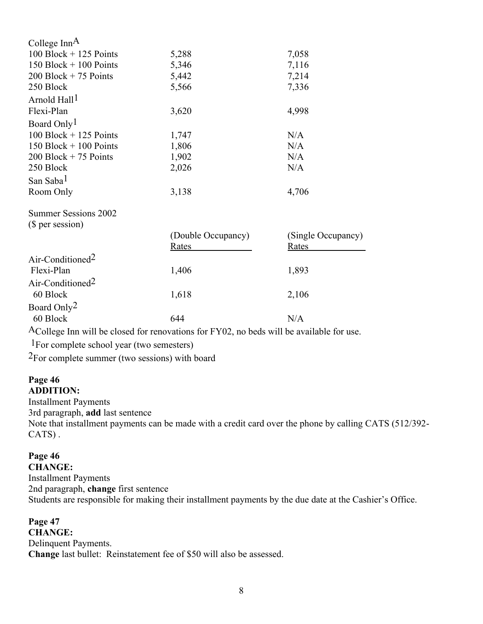| College Inn $A$              |                    |                    |
|------------------------------|--------------------|--------------------|
| $100$ Block + 125 Points     | 5,288              | 7,058              |
| 150 Block $+$ 100 Points     | 5,346              | 7,116              |
| $200$ Block + 75 Points      | 5,442              | 7,214              |
| 250 Block                    | 5,566              | 7,336              |
| Arnold Hall <sup>1</sup>     |                    |                    |
| Flexi-Plan                   | 3,620              | 4,998              |
| Board Only <sup>1</sup>      |                    |                    |
| $100$ Block + 125 Points     | 1,747              | N/A                |
| 150 Block $+$ 100 Points     | 1,806              | N/A                |
| $200$ Block + 75 Points      | 1,902              | N/A                |
| 250 Block                    | 2,026              | N/A                |
| San Saba <sup>1</sup>        |                    |                    |
| Room Only                    | 3,138              | 4,706              |
| <b>Summer Sessions 2002</b>  |                    |                    |
| (\$ per session)             |                    |                    |
|                              | (Double Occupancy) | (Single Occupancy) |
|                              | Rates              | Rates              |
| Air-Conditioned <sup>2</sup> |                    |                    |
| Flexi-Plan                   | 1,406              | 1,893              |
| Air-Conditioned <sup>2</sup> |                    |                    |
| 60 Block                     | 1,618              | 2,106              |
| Board Only <sup>2</sup>      |                    |                    |
| 60 Block                     | 644                | N/A                |

ACollege Inn will be closed for renovations for FY02, no beds will be available for use.

1For complete school year (two semesters)

2For complete summer (two sessions) with board

#### **Page 46 ADDITION:**

Installment Payments 3rd paragraph, **add** last sentence Note that installment payments can be made with a credit card over the phone by calling CATS (512/392- CATS) .

### **Page 46**

**CHANGE:** Installment Payments 2nd paragraph, **change** first sentence Students are responsible for making their installment payments by the due date at the Cashier's Office.

**Page 47 CHANGE:** Delinquent Payments. **Change** last bullet: Reinstatement fee of \$50 will also be assessed.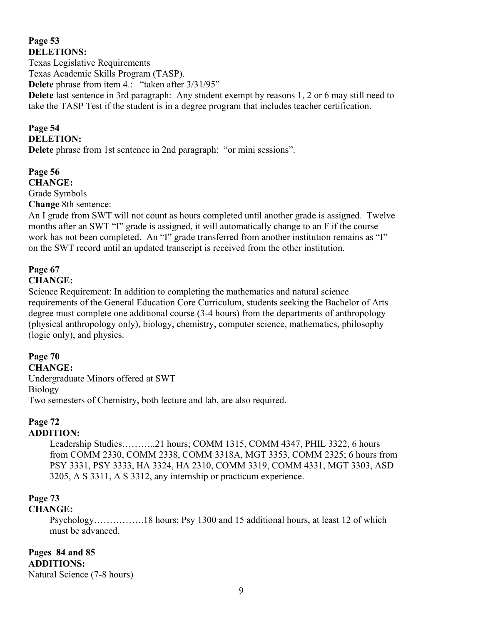#### **Page 53 DELETIONS:**

Texas Legislative Requirements Texas Academic Skills Program (TASP). **Delete** phrase from item 4.: "taken after 3/31/95" **Delete** last sentence in 3rd paragraph: Any student exempt by reasons 1, 2 or 6 may still need to take the TASP Test if the student is in a degree program that includes teacher certification.

#### **Page 54 DELETION:**

**Delete** phrase from 1st sentence in 2nd paragraph: "or mini sessions".

**Page 56 CHANGE:** Grade Symbols **Change** 8th sentence:

An I grade from SWT will not count as hours completed until another grade is assigned. Twelve months after an SWT "I" grade is assigned, it will automatically change to an F if the course work has not been completed. An "I" grade transferred from another institution remains as "I" on the SWT record until an updated transcript is received from the other institution.

#### **Page 67 CHANGE:**

Science Requirement: In addition to completing the mathematics and natural science requirements of the General Education Core Curriculum, students seeking the Bachelor of Arts degree must complete one additional course (3-4 hours) from the departments of anthropology (physical anthropology only), biology, chemistry, computer science, mathematics, philosophy (logic only), and physics.

### **Page 70**

#### **CHANGE:**

Undergraduate Minors offered at SWT Biology Two semesters of Chemistry, both lecture and lab, are also required.

### **Page 72**

### **ADDITION:**

Leadership Studies………..21 hours; COMM 1315, COMM 4347, PHIL 3322, 6 hours from COMM 2330, COMM 2338, COMM 3318A, MGT 3353, COMM 2325; 6 hours from PSY 3331, PSY 3333, HA 3324, HA 2310, COMM 3319, COMM 4331, MGT 3303, ASD 3205, A S 3311, A S 3312, any internship or practicum experience.

### **Page 73**

### **CHANGE:**

Psychology…………….18 hours; Psy 1300 and 15 additional hours, at least 12 of which must be advanced.

**Pages 84 and 85 ADDITIONS:** Natural Science (7-8 hours)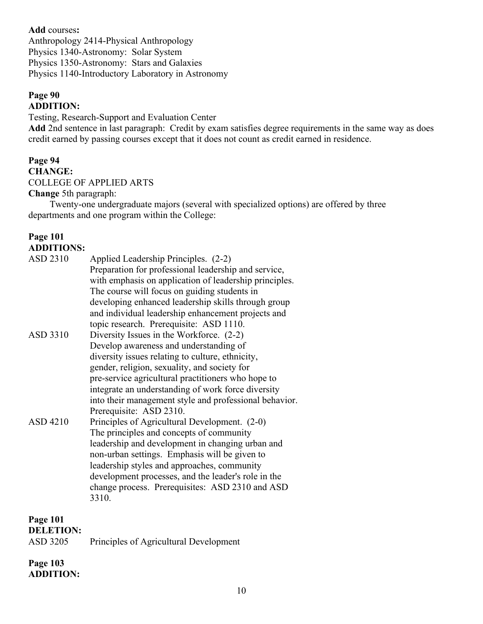**Add** courses**:** Anthropology 2414-Physical Anthropology Physics 1340-Astronomy: Solar System Physics 1350-Astronomy: Stars and Galaxies Physics 1140-Introductory Laboratory in Astronomy

#### **Page 90 ADDITION:**

Testing, Research-Support and Evaluation Center

**Add** 2nd sentence in last paragraph: Credit by exam satisfies degree requirements in the same way as does credit earned by passing courses except that it does not count as credit earned in residence.

### **Page 94 CHANGE:** COLLEGE OF APPLIED ARTS

#### **Change** 5th paragraph:

Twenty-one undergraduate majors (several with specialized options) are offered by three departments and one program within the College:

| <b>Page 101</b><br><b>ADDITIONS:</b> |                                                                                                                                                                                                                                                                                                                                                                                         |
|--------------------------------------|-----------------------------------------------------------------------------------------------------------------------------------------------------------------------------------------------------------------------------------------------------------------------------------------------------------------------------------------------------------------------------------------|
| ASD 2310                             | Applied Leadership Principles. (2-2)<br>Preparation for professional leadership and service,<br>with emphasis on application of leadership principles.<br>The course will focus on guiding students in<br>developing enhanced leadership skills through group<br>and individual leadership enhancement projects and<br>topic research. Prerequisite: ASD 1110.                          |
| ASD 3310                             | Diversity Issues in the Workforce. (2-2)<br>Develop awareness and understanding of<br>diversity issues relating to culture, ethnicity,<br>gender, religion, sexuality, and society for<br>pre-service agricultural practitioners who hope to<br>integrate an understanding of work force diversity<br>into their management style and professional behavior.<br>Prerequisite: ASD 2310. |
| ASD 4210                             | Principles of Agricultural Development. (2-0)<br>The principles and concepts of community<br>leadership and development in changing urban and<br>non-urban settings. Emphasis will be given to<br>leadership styles and approaches, community<br>development processes, and the leader's role in the<br>change process. Prerequisites: ASD 2310 and ASD<br>3310.                        |

**Page 101 DELETION:** 

| ASD 3205 | Principles of Agricultural Development |  |
|----------|----------------------------------------|--|
|          |                                        |  |

#### **Page 103 ADDITION:**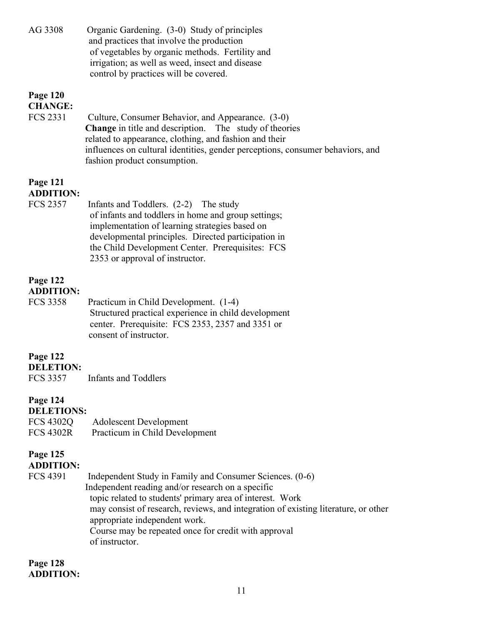| Organic Gardening. (3-0) Study of principles<br>and practices that involve the production<br>of vegetables by organic methods. Fertility and<br>irrigation; as well as weed, insect and disease<br>control by practices will be covered.                                                                                                                                    |
|-----------------------------------------------------------------------------------------------------------------------------------------------------------------------------------------------------------------------------------------------------------------------------------------------------------------------------------------------------------------------------|
| Culture, Consumer Behavior, and Appearance. (3-0)<br>The study of theories<br><b>Change</b> in title and description.<br>related to appearance, clothing, and fashion and their<br>influences on cultural identities, gender perceptions, consumer behaviors, and<br>fashion product consumption.                                                                           |
| Infants and Toddlers. (2-2) The study<br>of infants and toddlers in home and group settings;<br>implementation of learning strategies based on<br>developmental principles. Directed participation in<br>the Child Development Center. Prerequisites: FCS<br>2353 or approval of instructor.                                                                                |
| Practicum in Child Development. (1-4)<br>Structured practical experience in child development<br>center. Prerequisite: FCS 2353, 2357 and 3351 or<br>consent of instructor.                                                                                                                                                                                                 |
| <b>Infants and Toddlers</b>                                                                                                                                                                                                                                                                                                                                                 |
| <b>DELETIONS:</b><br><b>Adolescent Development</b><br>Practicum in Child Development                                                                                                                                                                                                                                                                                        |
| Independent Study in Family and Consumer Sciences. (0-6)<br>Independent reading and/or research on a specific<br>topic related to students' primary area of interest. Work<br>may consist of research, reviews, and integration of existing literature, or other<br>appropriate independent work.<br>Course may be repeated once for credit with approval<br>of instructor. |
|                                                                                                                                                                                                                                                                                                                                                                             |

**Page 128 ADDITION:**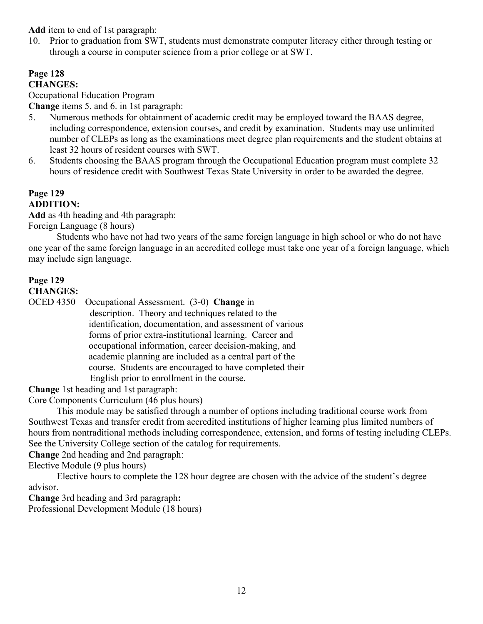**Add** item to end of 1st paragraph:

10. Prior to graduation from SWT, students must demonstrate computer literacy either through testing or through a course in computer science from a prior college or at SWT.

#### **Page 128 CHANGES:**

Occupational Education Program

**Change** items 5. and 6. in 1st paragraph:

- 5. Numerous methods for obtainment of academic credit may be employed toward the BAAS degree, including correspondence, extension courses, and credit by examination. Students may use unlimited number of CLEPs as long as the examinations meet degree plan requirements and the student obtains at least 32 hours of resident courses with SWT.
- 6. Students choosing the BAAS program through the Occupational Education program must complete 32 hours of residence credit with Southwest Texas State University in order to be awarded the degree.

#### **Page 129 ADDITION:**

**Add** as 4th heading and 4th paragraph:

Foreign Language (8 hours)

Students who have not had two years of the same foreign language in high school or who do not have one year of the same foreign language in an accredited college must take one year of a foreign language, which may include sign language.

#### **Page 129 CHANGES:**

OCED 4350 Occupational Assessment. (3-0) **Change** in

 description. Theory and techniques related to the identification, documentation, and assessment of various forms of prior extra-institutional learning. Career and occupational information, career decision-making, and academic planning are included as a central part of the course. Students are encouraged to have completed their English prior to enrollment in the course.

**Change** 1st heading and 1st paragraph:

Core Components Curriculum (46 plus hours)

This module may be satisfied through a number of options including traditional course work from Southwest Texas and transfer credit from accredited institutions of higher learning plus limited numbers of hours from nontraditional methods including correspondence, extension, and forms of testing including CLEPs. See the University College section of the catalog for requirements.

**Change** 2nd heading and 2nd paragraph:

Elective Module (9 plus hours)

Elective hours to complete the 128 hour degree are chosen with the advice of the student's degree advisor.

**Change** 3rd heading and 3rd paragraph**:**

Professional Development Module (18 hours)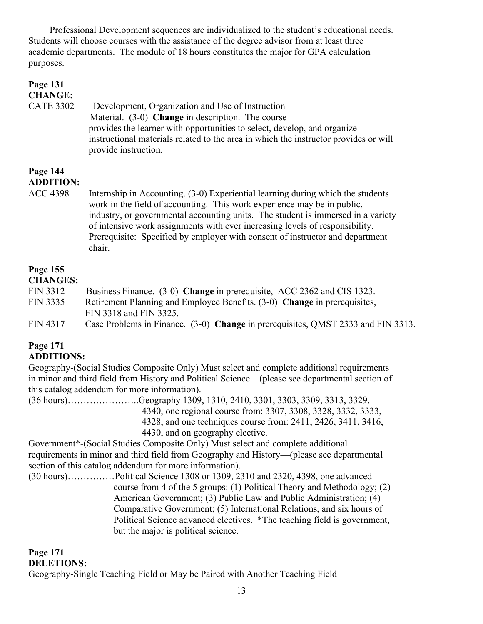Professional Development sequences are individualized to the student's educational needs. Students will choose courses with the assistance of the degree advisor from at least three academic departments. The module of 18 hours constitutes the major for GPA calculation purposes.

| Page 131<br><b>CHANGE:</b>   |                                                                                                                                                                                                                                                                                                                                                                                                                           |
|------------------------------|---------------------------------------------------------------------------------------------------------------------------------------------------------------------------------------------------------------------------------------------------------------------------------------------------------------------------------------------------------------------------------------------------------------------------|
| <b>CATE 3302</b>             | Development, Organization and Use of Instruction<br>Material. (3-0) Change in description. The course<br>provides the learner with opportunities to select, develop, and organize<br>instructional materials related to the area in which the instructor provides or will<br>provide instruction.                                                                                                                         |
| Page 144<br><b>ADDITION:</b> |                                                                                                                                                                                                                                                                                                                                                                                                                           |
| <b>ACC 4398</b>              | Internship in Accounting. (3-0) Experiential learning during which the students<br>work in the field of accounting. This work experience may be in public,<br>industry, or governmental accounting units. The student is immersed in a variety<br>of intensive work assignments with ever increasing levels of responsibility.<br>Prerequisite: Specified by employer with consent of instructor and department<br>chair. |
| Page 155<br><b>CHANGES:</b>  |                                                                                                                                                                                                                                                                                                                                                                                                                           |
| <b>FIN 3312</b>              | Business Finance. (3-0) Change in prerequisite, ACC 2362 and CIS 1323.                                                                                                                                                                                                                                                                                                                                                    |
| <b>FIN 3335</b>              | Retirement Planning and Employee Benefits. (3-0) Change in prerequisites,<br>FIN 3318 and FIN 3325.                                                                                                                                                                                                                                                                                                                       |

FIN 4317 Case Problems in Finance. (3-0) **Change** in prerequisites, QMST 2333 and FIN 3313.

#### **Page 171 ADDITIONS:**

Geography-(Social Studies Composite Only) Must select and complete additional requirements in minor and third field from History and Political Science—(please see departmental section of this catalog addendum for more information).

(36 hours)…………………..Geography 1309, 1310, 2410, 3301, 3303, 3309, 3313, 3329, 4340, one regional course from: 3307, 3308, 3328, 3332, 3333, 4328, and one techniques course from: 2411, 2426, 3411, 3416, 4430, and on geography elective.

Government\*-(Social Studies Composite Only) Must select and complete additional requirements in minor and third field from Geography and History—(please see departmental section of this catalog addendum for more information).

(30 hours)……………Political Science 1308 or 1309, 2310 and 2320, 4398, one advanced course from 4 of the 5 groups: (1) Political Theory and Methodology; (2) American Government; (3) Public Law and Public Administration; (4) Comparative Government; (5) International Relations, and six hours of Political Science advanced electives. \*The teaching field is government, but the major is political science.

#### **Page 171 DELETIONS:**

Geography-Single Teaching Field or May be Paired with Another Teaching Field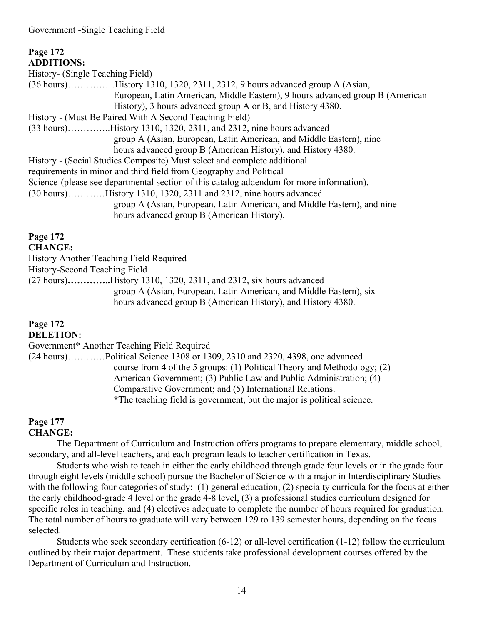Government -Single Teaching Field

#### **Page 172 ADDITIONS:**  History- (Single Teaching Field) (36 hours)……………History 1310, 1320, 2311, 2312, 9 hours advanced group A (Asian, European, Latin American, Middle Eastern), 9 hours advanced group B (American History), 3 hours advanced group A or B, and History 4380. History - (Must Be Paired With A Second Teaching Field) (33 hours)…………..History 1310, 1320, 2311, and 2312, nine hours advanced group A (Asian, European, Latin American, and Middle Eastern), nine hours advanced group B (American History), and History 4380. History - (Social Studies Composite) Must select and complete additional requirements in minor and third field from Geography and Political Science-(please see departmental section of this catalog addendum for more information). (30 hours)…………History 1310, 1320, 2311 and 2312, nine hours advanced group A (Asian, European, Latin American, and Middle Eastern), and nine hours advanced group B (American History).

#### **Page 172 CHANGE:**

History Another Teaching Field Required History-Second Teaching Field (27 hours)**…………..**History 1310, 1320, 2311, and 2312, six hours advanced group A (Asian, European, Latin American, and Middle Eastern), six hours advanced group B (American History), and History 4380.

### **Page 172**

**DELETION:**

Government\* Another Teaching Field Required

(24 hours)…………Political Science 1308 or 1309, 2310 and 2320, 4398, one advanced course from 4 of the 5 groups: (1) Political Theory and Methodology; (2) American Government; (3) Public Law and Public Administration; (4) Comparative Government; and (5) International Relations. \*The teaching field is government, but the major is political science.

## **Page 177**

### **CHANGE:**

The Department of Curriculum and Instruction offers programs to prepare elementary, middle school, secondary, and all-level teachers, and each program leads to teacher certification in Texas.

Students who wish to teach in either the early childhood through grade four levels or in the grade four through eight levels (middle school) pursue the Bachelor of Science with a major in Interdisciplinary Studies with the following four categories of study: (1) general education, (2) specialty curricula for the focus at either the early childhood-grade 4 level or the grade 4-8 level, (3) a professional studies curriculum designed for specific roles in teaching, and (4) electives adequate to complete the number of hours required for graduation. The total number of hours to graduate will vary between 129 to 139 semester hours, depending on the focus selected.

Students who seek secondary certification (6-12) or all-level certification (1-12) follow the curriculum outlined by their major department. These students take professional development courses offered by the Department of Curriculum and Instruction.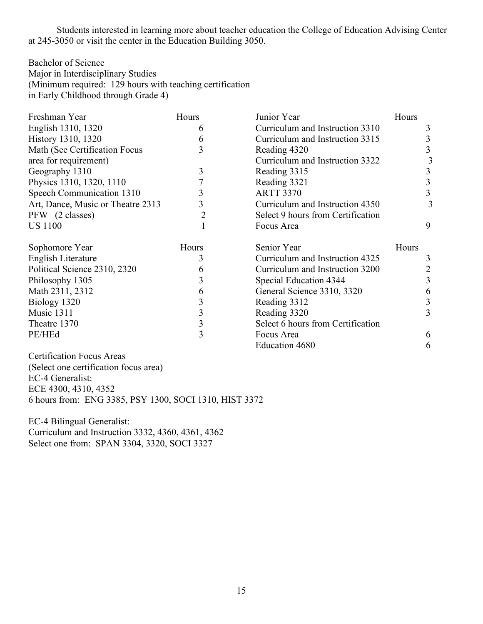Students interested in learning more about teacher education the College of Education Advising Center at 245-3050 or visit the center in the Education Building 3050.

Bachelor of Science Major in Interdisciplinary Studies (Minimum required: 129 hours with teaching certification in Early Childhood through Grade 4)

| Freshman Year                     | Hours | Junior Year                       | Hours          |
|-----------------------------------|-------|-----------------------------------|----------------|
| English 1310, 1320                | b     | Curriculum and Instruction 3310   | 3              |
| History 1310, 1320                | 6     | Curriculum and Instruction 3315   | 3              |
| Math (See Certification Focus     | 3     | Reading 4320                      | 3              |
| area for requirement)             |       | Curriculum and Instruction 3322   |                |
| Geography 1310                    | 3     | Reading 3315                      | 3              |
| Physics 1310, 1320, 1110          |       | Reading 3321                      | 3              |
| Speech Communication 1310         | 3     | <b>ARTT 3370</b>                  | $\overline{3}$ |
| Art, Dance, Music or Theatre 2313 | 3     | Curriculum and Instruction 4350   | 3              |
| PFW (2 classes)                   | 2     | Select 9 hours from Certification |                |
| <b>US 1100</b>                    |       | Focus Area                        | 9              |
| Sophomore Year                    | Hours | Senior Year                       | Hours          |
| English Literature                | 3     | Curriculum and Instruction 4325   | 3              |
| Political Science 2310, 2320      | 6     | Curriculum and Instruction 3200   | 2              |
| Philosophy 1305                   | 3     | Special Education 4344            | 3              |
| Math 2311, 2312                   | 6     | General Science 3310, 3320        | 6              |
| Biology 1320                      | 3     | Reading 3312                      | 3              |
| Music 1311                        | 3     | Reading 3320                      | 3              |
| Theatre 1370                      | 3     | Select 6 hours from Certification |                |
| PE/HEd                            | 3     | Focus Area                        | 6              |
|                                   |       | <b>Education 4680</b>             | 6              |

Certification Focus Areas (Select one certification focus area) EC-4 Generalist: ECE 4300, 4310, 4352 6 hours from: ENG 3385, PSY 1300, SOCI 1310, HIST 3372

EC-4 Bilingual Generalist: Curriculum and Instruction 3332, 4360, 4361, 4362 Select one from: SPAN 3304, 3320, SOCI 3327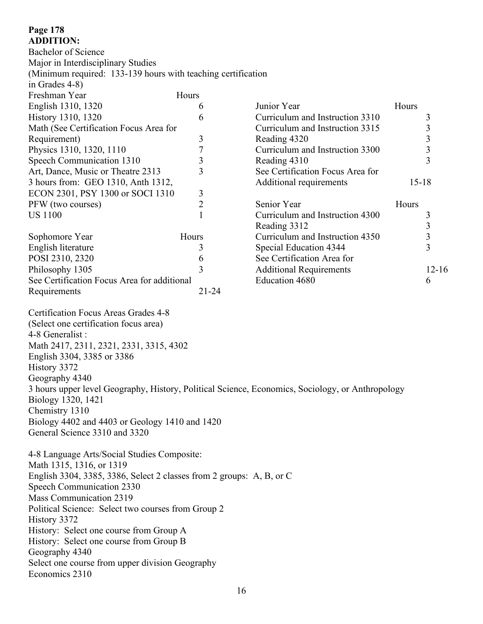#### **Page 178 ADDITION:**

Bachelor of Science Major in Interdisciplinary Studies (Minimum required: 133-139 hours with teaching certification in Grades 4-8) Freshman Year Hours English 1310, 1320 6 History 1310, 1320 6 Math (See Certification Focus Area for Requirement) 3 Physics 1310, 1320, 1110 7 Speech Communication 1310 3 Art, Dance, Music or Theatre 2313 3 3 hours from: GEO 1310, Anth 1312, ECON 2301, PSY 1300 or SOCI 1310 3 PFW (two courses) 2 US 1100 1 Sophomore Year Hours English literature 3 POSI 2310, 2320 6 Philosophy 1305 3 See Certification Focus Area for additional Requirements 21-24 Junior Year **Hours** Curriculum and Instruction 3310 3 Curriculum and Instruction 3315 3 Reading  $4320$   $3$ Curriculum and Instruction 3300 3 Reading  $4310$  3 See Certification Focus Area for Additional requirements 15-18 Senior Year Hours Curriculum and Instruction 4300 3 Reading  $3312$  3 Curriculum and Instruction 4350 3<br>Special Education 4344 3 Special Education 4344 See Certification Area for Additional Requirements 12-16 Education  $4680$  6 Certification Focus Areas Grades 4-8 (Select one certification focus area) 4-8 Generalist : Math 2417, 2311, 2321, 2331, 3315, 4302 English 3304, 3385 or 3386 History 3372 Geography 4340 3 hours upper level Geography, History, Political Science, Economics, Sociology, or Anthropology Biology 1320, 1421 Chemistry 1310 Biology 4402 and 4403 or Geology 1410 and 1420 General Science 3310 and 3320 4-8 Language Arts/Social Studies Composite: Math 1315, 1316, or 1319 English 3304, 3385, 3386, Select 2 classes from 2 groups: A, B, or C Speech Communication 2330 Mass Communication 2319 Political Science: Select two courses from Group 2 History 3372 History: Select one course from Group A History: Select one course from Group B Geography 4340

Select one course from upper division Geography

Economics 2310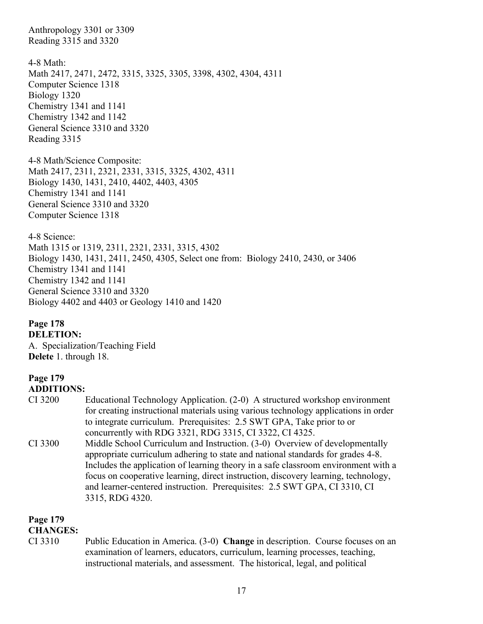Anthropology 3301 or 3309 Reading 3315 and 3320

4-8 Math: Math 2417, 2471, 2472, 3315, 3325, 3305, 3398, 4302, 4304, 4311 Computer Science 1318 Biology 1320 Chemistry 1341 and 1141 Chemistry 1342 and 1142 General Science 3310 and 3320 Reading 3315

4-8 Math/Science Composite: Math 2417, 2311, 2321, 2331, 3315, 3325, 4302, 4311 Biology 1430, 1431, 2410, 4402, 4403, 4305 Chemistry 1341 and 1141 General Science 3310 and 3320 Computer Science 1318

4-8 Science: Math 1315 or 1319, 2311, 2321, 2331, 3315, 4302 Biology 1430, 1431, 2411, 2450, 4305, Select one from: Biology 2410, 2430, or 3406 Chemistry 1341 and 1141 Chemistry 1342 and 1141 General Science 3310 and 3320 Biology 4402 and 4403 or Geology 1410 and 1420

**Page 178 DELETION:** A. Specialization/Teaching Field **Delete** 1. through 18.

### **Page 179**

#### **ADDITIONS:**

| CI 3200 | Educational Technology Application. (2-0) A structured workshop environment                                                                                                                                                                                |
|---------|------------------------------------------------------------------------------------------------------------------------------------------------------------------------------------------------------------------------------------------------------------|
|         | for creating instructional materials using various technology applications in order                                                                                                                                                                        |
|         | to integrate curriculum. Prerequisites: 2.5 SWT GPA, Take prior to or                                                                                                                                                                                      |
|         | concurrently with RDG 3321, RDG 3315, CI 3322, CI 4325.                                                                                                                                                                                                    |
| CT 2200 | $M: 111, 0.11$ $O_{1}$ $O_{2}$ $O_{2}$ $O_{2}$ $O_{3}$ $O_{3}$ $O_{3}$ $O_{4}$ $O_{4}$ $O_{4}$ $O_{4}$ $O_{4}$ $O_{4}$ $O_{4}$ $O_{4}$ $O_{4}$ $O_{4}$ $O_{4}$ $O_{4}$ $O_{4}$ $O_{4}$ $O_{4}$ $O_{4}$ $O_{4}$ $O_{4}$ $O_{4}$ $O_{4}$ $O_{4}$ $O_{4}$ $O$ |

CI 3300 Middle School Curriculum and Instruction. (3-0) Overview of developmentally appropriate curriculum adhering to state and national standards for grades 4-8. Includes the application of learning theory in a safe classroom environment with a focus on cooperative learning, direct instruction, discovery learning, technology, and learner-centered instruction. Prerequisites: 2.5 SWT GPA, CI 3310, CI 3315, RDG 4320.

### **Page 179**

#### **CHANGES:**

CI 3310 Public Education in America. (3-0) **Change** in description. Course focuses on an examination of learners, educators, curriculum, learning processes, teaching, instructional materials, and assessment. The historical, legal, and political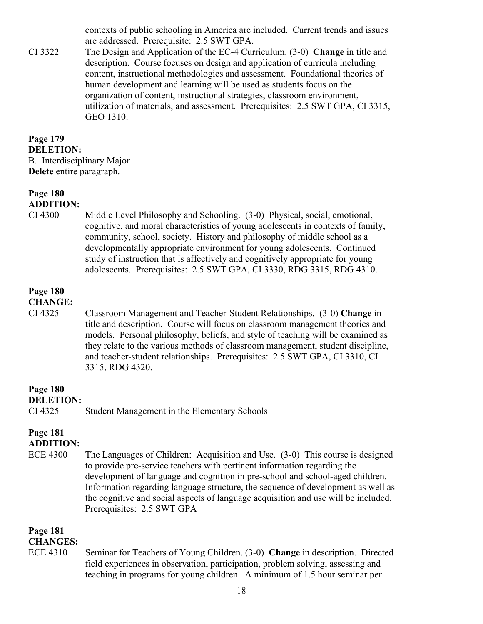contexts of public schooling in America are included. Current trends and issues are addressed. Prerequisite: 2.5 SWT GPA.

CI 3322 The Design and Application of the EC-4 Curriculum. (3-0) **Change** in title and description. Course focuses on design and application of curricula including content, instructional methodologies and assessment. Foundational theories of human development and learning will be used as students focus on the organization of content, instructional strategies, classroom environment, utilization of materials, and assessment. Prerequisites: 2.5 SWT GPA, CI 3315, GEO 1310.

#### **Page 179 DELETION:** B. Interdisciplinary Major **Delete** entire paragraph.

#### **Page 180 ADDITION:**

CI 4300 Middle Level Philosophy and Schooling. (3-0) Physical, social, emotional, cognitive, and moral characteristics of young adolescents in contexts of family, community, school, society. History and philosophy of middle school as a developmentally appropriate environment for young adolescents. Continued study of instruction that is affectively and cognitively appropriate for young adolescents. Prerequisites: 2.5 SWT GPA, CI 3330, RDG 3315, RDG 4310.

### **Page 180**

**CHANGE:**

CI 4325 Classroom Management and Teacher-Student Relationships. (3-0) **Change** in title and description. Course will focus on classroom management theories and models. Personal philosophy, beliefs, and style of teaching will be examined as they relate to the various methods of classroom management, student discipline, and teacher-student relationships. Prerequisites: 2.5 SWT GPA, CI 3310, CI 3315, RDG 4320.

#### **Page 180 DELETION:**

#### CI 4325 Student Management in the Elementary Schools

#### **Page 181 ADDITION:**

ECE 4300 The Languages of Children: Acquisition and Use. (3-0) This course is designed to provide pre-service teachers with pertinent information regarding the development of language and cognition in pre-school and school-aged children. Information regarding language structure, the sequence of development as well as the cognitive and social aspects of language acquisition and use will be included. Prerequisites: 2.5 SWT GPA

### **Page 181**

### **CHANGES:**

ECE 4310 Seminar for Teachers of Young Children. (3-0) **Change** in description. Directed field experiences in observation, participation, problem solving, assessing and teaching in programs for young children. A minimum of 1.5 hour seminar per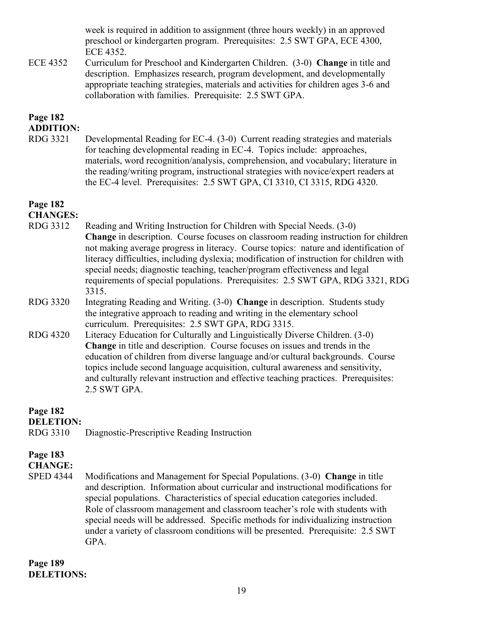week is required in addition to assignment (three hours weekly) in an approved preschool or kindergarten program. Prerequisites: 2.5 SWT GPA, ECE 4300, ECE 4352.

ECE 4352 Curriculum for Preschool and Kindergarten Children. (3-0) **Change** in title and description. Emphasizes research, program development, and developmentally appropriate teaching strategies, materials and activities for children ages 3-6 and collaboration with families. Prerequisite: 2.5 SWT GPA.

### **Page 182**

**ADDITION:**

RDG 3321 Developmental Reading for EC-4. (3-0) Current reading strategies and materials for teaching developmental reading in EC-4. Topics include: approaches, materials, word recognition/analysis, comprehension, and vocabulary; literature in the reading/writing program, instructional strategies with novice/expert readers at the EC-4 level. Prerequisites: 2.5 SWT GPA, CI 3310, CI 3315, RDG 4320.

## **Page 182**

**CHANGES:**

- RDG 3312 Reading and Writing Instruction for Children with Special Needs. (3-0) **Change** in description. Course focuses on classroom reading instruction for children not making average progress in literacy. Course topics: nature and identification of literacy difficulties, including dyslexia; modification of instruction for children with special needs; diagnostic teaching, teacher/program effectiveness and legal requirements of special populations. Prerequisites: 2.5 SWT GPA, RDG 3321, RDG 3315.
- RDG 3320 Integrating Reading and Writing. (3-0) **Change** in description. Students study the integrative approach to reading and writing in the elementary school curriculum. Prerequisites: 2.5 SWT GPA, RDG 3315.
- RDG 4320 Literacy Education for Culturally and Linguistically Diverse Children. (3-0) **Change** in title and description.Course focuses on issues and trends in the education of children from diverse language and/or cultural backgrounds. Course topics include second language acquisition, cultural awareness and sensitivity, and culturally relevant instruction and effective teaching practices. Prerequisites: 2.5 SWT GPA.

**Page 182**

**DELETION:** 

RDG 3310 Diagnostic-Prescriptive Reading Instruction

### **Page 183**

**CHANGE:**

SPED 4344 Modifications and Management for Special Populations. (3-0) **Change** in title and description. Information about curricular and instructional modifications for special populations. Characteristics of special education categories included. Role of classroom management and classroom teacher's role with students with special needs will be addressed. Specific methods for individualizing instruction under a variety of classroom conditions will be presented. Prerequisite: 2.5 SWT GPA.

**Page 189 DELETIONS:**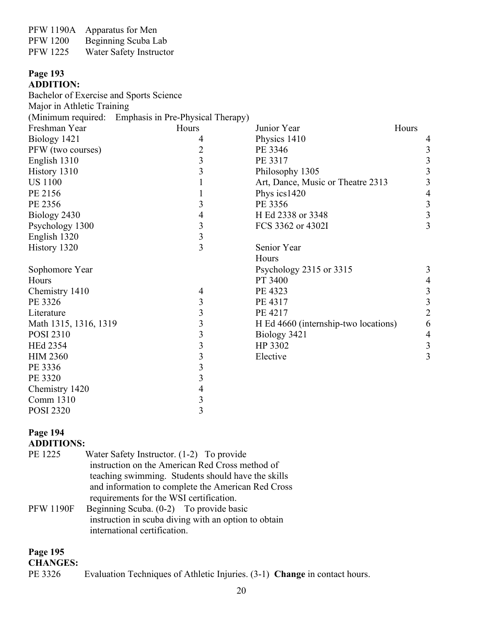| <b>PFW 1190A</b> | Apparatus for Men       |
|------------------|-------------------------|
| <b>PFW 1200</b>  | Beginning Scuba Lab     |
| <b>PFW 1225</b>  | Water Safety Instructor |

#### **Page 193 ADDITION:**

| Bachelor of Exercise and Sports Science |                                                      |                                      |       |                         |
|-----------------------------------------|------------------------------------------------------|--------------------------------------|-------|-------------------------|
| Major in Athletic Training              |                                                      |                                      |       |                         |
|                                         | (Minimum required: Emphasis in Pre-Physical Therapy) |                                      |       |                         |
| Freshman Year                           | Hours                                                | Junior Year                          | Hours |                         |
| Biology 1421                            | 4                                                    | Physics 1410                         |       | 4                       |
| PFW (two courses)                       | $\overline{c}$                                       | PE 3346                              |       | $\mathfrak{Z}$          |
| English 1310                            | $\overline{\mathbf{3}}$                              | PE 3317                              |       | $\overline{3}$          |
| History 1310                            | $\overline{3}$                                       | Philosophy 1305                      |       | $\overline{\mathbf{3}}$ |
| <b>US 1100</b>                          | 1                                                    | Art, Dance, Music or Theatre 2313    |       | $\overline{3}$          |
| PE 2156                                 | 1                                                    | Phys ics1420                         |       | $\overline{4}$          |
| PE 2356                                 | 3                                                    | PE 3356                              |       |                         |
| Biology 2430                            | 4                                                    | H Ed 2338 or 3348                    |       | $\frac{3}{3}$           |
| Psychology 1300                         | $\overline{3}$                                       | FCS 3362 or 4302I                    |       | 3                       |
| English 1320                            | $\overline{\mathbf{3}}$                              |                                      |       |                         |
| History 1320                            | $\overline{3}$                                       | Senior Year                          |       |                         |
|                                         |                                                      | Hours                                |       |                         |
| Sophomore Year                          |                                                      | Psychology 2315 or 3315              |       | 3                       |
| Hours                                   |                                                      | PT 3400                              |       | $\overline{4}$          |
| Chemistry 1410                          | $\overline{4}$                                       | PE 4323                              |       | $\frac{3}{3}$           |
| PE 3326                                 | $\overline{\mathbf{3}}$                              | PE 4317                              |       |                         |
| Literature                              | $\overline{\mathbf{3}}$                              | PE 4217                              |       | $\overline{2}$          |
| Math 1315, 1316, 1319                   | $\overline{\mathbf{3}}$                              | H Ed 4660 (internship-two locations) |       | 6                       |
| <b>POSI 2310</b>                        | $\overline{\mathbf{3}}$                              | Biology 3421                         |       | $\overline{4}$          |
| <b>HEd 2354</b>                         | $\overline{\mathbf{3}}$                              | HP 3302                              |       | $\overline{3}$          |
| <b>HIM 2360</b>                         | $\overline{\mathbf{3}}$                              | Elective                             |       | $\overline{3}$          |
| PE 3336                                 | $\overline{\mathbf{3}}$                              |                                      |       |                         |
| PE 3320                                 | $\overline{\mathbf{3}}$                              |                                      |       |                         |
| Chemistry 1420                          | 4                                                    |                                      |       |                         |
| Comm 1310                               | $\overline{\mathbf{3}}$                              |                                      |       |                         |
| <b>POSI 2320</b>                        | $\overline{3}$                                       |                                      |       |                         |

### **Page 194 ADDITIONS:**

| PE 1225          | Water Safety Instructor. (1-2) To provide<br>instruction on the American Red Cross method of |  |  |
|------------------|----------------------------------------------------------------------------------------------|--|--|
|                  | teaching swimming. Students should have the skills                                           |  |  |
|                  | and information to complete the American Red Cross                                           |  |  |
|                  | requirements for the WSI certification.                                                      |  |  |
| <b>PFW 1190F</b> | Beginning Scuba. (0-2) To provide basic                                                      |  |  |
|                  | instruction in scuba diving with an option to obtain<br>international certification.         |  |  |

#### **Page 195**

#### **CHANGES:**

| PE 3326 |  |  |  |  |  | Evaluation Techniques of Athletic Injuries. $(3-1)$ <b>Change</b> in contact hours. |
|---------|--|--|--|--|--|-------------------------------------------------------------------------------------|
|---------|--|--|--|--|--|-------------------------------------------------------------------------------------|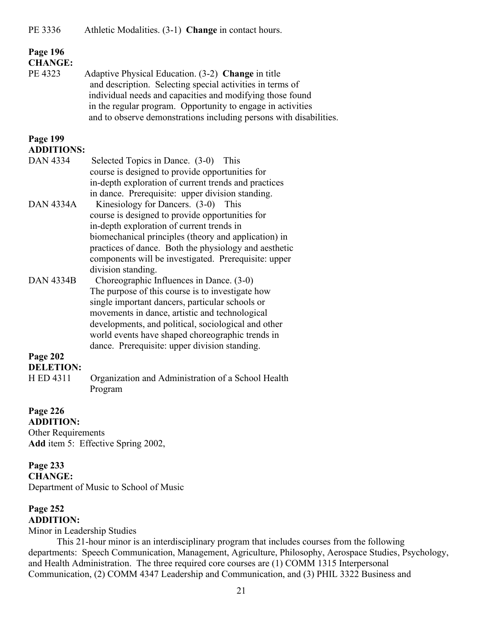#### **Page 196 CHANGE:**

PE 4323 Adaptive Physical Education. (3-2) **Change** in title and description. Selecting special activities in terms of individual needs and capacities and modifying those found in the regular program. Opportunity to engage in activities and to observe demonstrations including persons with disabilities.

#### **Page 199 ADDITIONS:**

- DAN 4334 Selected Topics in Dance. (3-0) This course is designed to provide opportunities for in-depth exploration of current trends and practices in dance. Prerequisite: upper division standing. DAN 4334A Kinesiology for Dancers. (3-0) This course is designed to provide opportunities for in-depth exploration of current trends in biomechanical principles (theory and application) in practices of dance. Both the physiology and aesthetic components will be investigated. Prerequisite: upper division standing.
- DAN 4334B Choreographic Influences in Dance. (3-0) The purpose of this course is to investigate how single important dancers, particular schools or movements in dance, artistic and technological developments, and political, sociological and other world events have shaped choreographic trends in dance. Prerequisite: upper division standing.

### **Page 202**

**DELETION:** H ED 4311 Organization and Administration of a School Health Program

#### **Page 226 ADDITION:**

Other Requirements **Add** item 5: Effective Spring 2002,

#### **Page 233 CHANGE:**

Department of Music to School of Music

#### **Page 252 ADDITION:**

#### Minor in Leadership Studies

This 21-hour minor is an interdisciplinary program that includes courses from the following departments: Speech Communication, Management, Agriculture, Philosophy, Aerospace Studies, Psychology, and Health Administration. The three required core courses are (1) COMM 1315 Interpersonal Communication, (2) COMM 4347 Leadership and Communication, and (3) PHIL 3322 Business and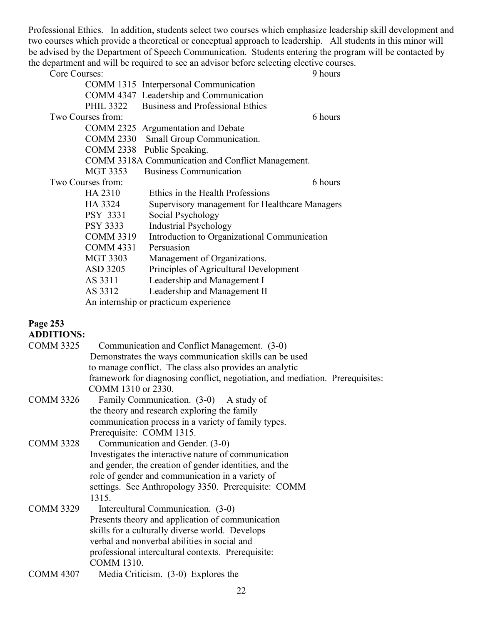Professional Ethics. In addition, students select two courses which emphasize leadership skill development and two courses which provide a theoretical or conceptual approach to leadership. All students in this minor will be advised by the Department of Speech Communication. Students entering the program will be contacted by the department and will be required to see an advisor before selecting elective courses.

| Core Courses:     | 9 hours                                           |
|-------------------|---------------------------------------------------|
|                   | COMM 1315 Interpersonal Communication             |
|                   | COMM 4347 Leadership and Communication            |
| <b>PHIL 3322</b>  | <b>Business and Professional Ethics</b>           |
| Two Courses from: | 6 hours                                           |
|                   | COMM 2325 Argumentation and Debate                |
| <b>COMM 2330</b>  | Small Group Communication.                        |
| <b>COMM 2338</b>  | Public Speaking.                                  |
|                   | COMM 3318A Communication and Conflict Management. |
| <b>MGT 3353</b>   | <b>Business Communication</b>                     |
| Two Courses from: | 6 hours                                           |
| HA 2310           | Ethics in the Health Professions                  |
| HA 3324           | Supervisory management for Healthcare Managers    |
| PSY 3331          | Social Psychology                                 |
| <b>PSY 3333</b>   | <b>Industrial Psychology</b>                      |
| <b>COMM 3319</b>  | Introduction to Organizational Communication      |
| <b>COMM 4331</b>  | Persuasion                                        |
| <b>MGT 3303</b>   | Management of Organizations.                      |
| ASD 3205          | Principles of Agricultural Development            |
| AS 3311           | Leadership and Management I                       |
| AS 3312           | Leadership and Management II                      |
|                   | An internship or practicum experience             |
|                   |                                                   |

### **Page 253**

| <b>ADDITIONS:</b> |                                                                               |
|-------------------|-------------------------------------------------------------------------------|
| <b>COMM 3325</b>  | Communication and Conflict Management. (3-0)                                  |
|                   | Demonstrates the ways communication skills can be used                        |
|                   | to manage conflict. The class also provides an analytic                       |
|                   | framework for diagnosing conflict, negotiation, and mediation. Prerequisites: |
|                   | COMM 1310 or 2330.                                                            |
| <b>COMM 3326</b>  | Family Communication. (3-0) A study of                                        |
|                   | the theory and research exploring the family                                  |
|                   | communication process in a variety of family types.                           |
|                   | Prerequisite: COMM 1315.                                                      |
| <b>COMM 3328</b>  | Communication and Gender. (3-0)                                               |
|                   | Investigates the interactive nature of communication                          |
|                   | and gender, the creation of gender identities, and the                        |
|                   | role of gender and communication in a variety of                              |
|                   | settings. See Anthropology 3350. Prerequisite: COMM                           |
|                   | 1315.                                                                         |
| <b>COMM 3329</b>  | Intercultural Communication. (3-0)                                            |
|                   | Presents theory and application of communication                              |
|                   | skills for a culturally diverse world. Develops                               |
|                   | verbal and nonverbal abilities in social and                                  |
|                   | professional intercultural contexts. Prerequisite:                            |
|                   | <b>COMM 1310.</b>                                                             |
| <b>COMM 4307</b>  | Media Criticism. $(3-0)$ Explores the                                         |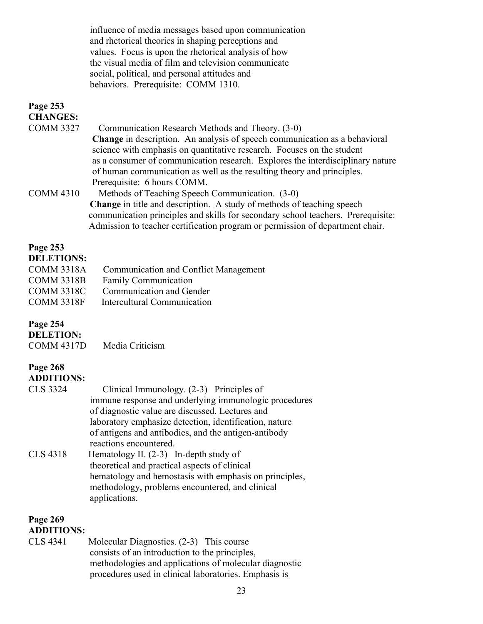influence of media messages based upon communication and rhetorical theories in shaping perceptions and values. Focus is upon the rhetorical analysis of how the visual media of film and television communicate social, political, and personal attitudes and behaviors. Prerequisite: COMM 1310.

| Page 253<br><b>CHANGES:</b> |                                                                                                                                                                                                                                                                                                                                                        |
|-----------------------------|--------------------------------------------------------------------------------------------------------------------------------------------------------------------------------------------------------------------------------------------------------------------------------------------------------------------------------------------------------|
| <b>COMM 3327</b>            | Communication Research Methods and Theory. (3-0)                                                                                                                                                                                                                                                                                                       |
|                             | <b>Change</b> in description. An analysis of speech communication as a behavioral<br>science with emphasis on quantitative research. Focuses on the student<br>as a consumer of communication research. Explores the interdisciplinary nature<br>of human communication as well as the resulting theory and principles.<br>Prerequisite: 6 hours COMM. |
| <b>COMM 4310</b>            | Methods of Teaching Speech Communication. (3-0)<br><b>Change</b> in title and description. A study of methods of teaching speech<br>communication principles and skills for secondary school teachers. Prerequisite:                                                                                                                                   |
|                             | Admission to teacher certification program or permission of department chair.                                                                                                                                                                                                                                                                          |

#### **Page 253**

#### **DELETIONS:**

| <b>COMM 3318A</b><br><b>COMM 3318B</b> | Communication and Conflict Management<br><b>Family Communication</b> |
|----------------------------------------|----------------------------------------------------------------------|
| <b>COMM 3318C</b>                      | Communication and Gender                                             |
| <b>COMM 3318F</b>                      | Intercultural Communication                                          |

#### **Page 254**

**DELETION:** COMM 4317D Media Criticism

#### **Page 268 ADDITIONS:**

| <b>CLS 3324</b> | Clinical Immunology. $(2-3)$ Principles of             |
|-----------------|--------------------------------------------------------|
|                 | immune response and underlying immunologic procedures  |
|                 | of diagnostic value are discussed. Lectures and        |
|                 | laboratory emphasize detection, identification, nature |
|                 | of antigens and antibodies, and the antigen-antibody   |
|                 | reactions encountered.                                 |
| <b>CLS 4318</b> | Hematology II. $(2-3)$ In-depth study of               |
|                 | theoretical and practical aspects of clinical          |
|                 | hematology and hemostasis with emphasis on principles, |
|                 | methodology, problems encountered, and clinical        |
|                 | applications.                                          |

#### **Page 269 ADDITIONS:**

CLS 4341 Molecular Diagnostics. (2-3) This course consists of an introduction to the principles, methodologies and applications of molecular diagnostic procedures used in clinical laboratories. Emphasis is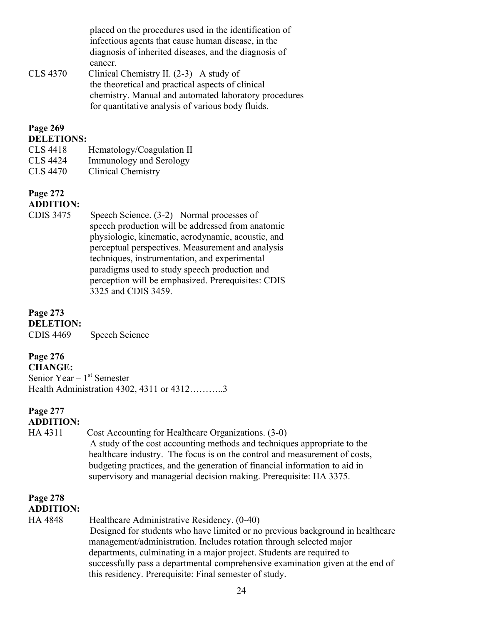placed on the procedures used in the identification of infectious agents that cause human disease, in the diagnosis of inherited diseases, and the diagnosis of cancer.

CLS 4370 Clinical Chemistry II. (2-3) A study of the theoretical and practical aspects of clinical chemistry. Manual and automated laboratory procedures for quantitative analysis of various body fluids.

#### **Page 269 DELETIONS:**

- CLS 4418 Hematology/Coagulation II
- CLS 4424 Immunology and Serology
- CLS 4470 Clinical Chemistry

#### **Page 272 ADDITION:**

CDIS 3475 Speech Science. (3-2) Normal processes of speech production will be addressed from anatomic physiologic, kinematic, aerodynamic, acoustic, and perceptual perspectives. Measurement and analysis techniques, instrumentation, and experimental paradigms used to study speech production and perception will be emphasized. Prerequisites: CDIS 3325 and CDIS 3459.

**Page 273 DELETION:** CDIS 4469 Speech Science

### **Page 276**

**CHANGE:** Senior Year – 1<sup>st</sup> Semester Health Administration 4302, 4311 or 4312………..3

### **Page 277 ADDITION:**

HA 4311 Cost Accounting for Healthcare Organizations. (3-0) A study of the cost accounting methods and techniques appropriate to the healthcare industry. The focus is on the control and measurement of costs, budgeting practices, and the generation of financial information to aid in supervisory and managerial decision making. Prerequisite: HA 3375.

## **Page 278**

### **ADDITION:**

HA 4848 Healthcare Administrative Residency. (0-40) Designed for students who have limited or no previous background in healthcare management/administration. Includes rotation through selected major departments, culminating in a major project. Students are required to successfully pass a departmental comprehensive examination given at the end of this residency. Prerequisite: Final semester of study.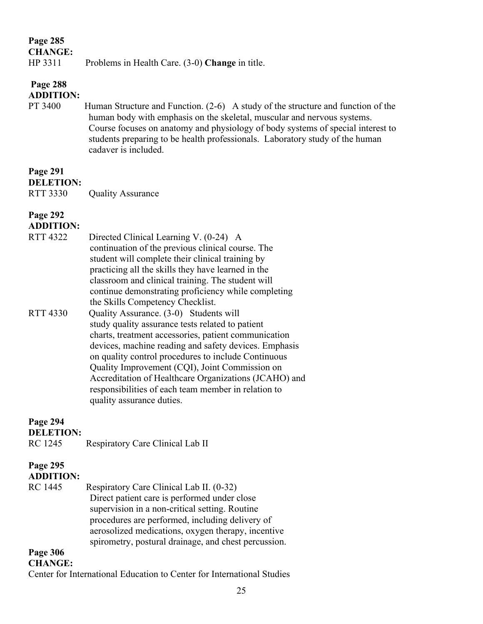#### **CHANGE:**

### HP 3311 Problems in Health Care. (3-0) **Change** in title.

#### **Page 288 ADDITION:**

PT 3400 Human Structure and Function. (2-6) A study of the structure and function of the human body with emphasis on the skeletal, muscular and nervous systems. Course focuses on anatomy and physiology of body systems of special interest to students preparing to be health professionals. Laboratory study of the human cadaver is included.

### **Page 291**

#### **DELETION:**

RTT 3330 Quality Assurance

### **Page 292**

### **ADDITION:**

RTT 4322 Directed Clinical Learning V. (0-24) A continuation of the previous clinical course. The student will complete their clinical training by practicing all the skills they have learned in the classroom and clinical training. The student will continue demonstrating proficiency while completing the Skills Competency Checklist. RTT 4330 Quality Assurance. (3-0) Students will study quality assurance tests related to patient charts, treatment accessories, patient communication devices, machine reading and safety devices. Emphasis on quality control procedures to include Continuous Quality Improvement (CQI), Joint Commission on Accreditation of Healthcare Organizations (JCAHO) and responsibilities of each team member in relation to quality assurance duties.

### **Page 294**

**DELETION:**

RC 1245 Respiratory Care Clinical Lab II

#### **Page 295 ADDITION:**

RC 1445 Respiratory Care Clinical Lab II. (0-32) Direct patient care is performed under close supervision in a non-critical setting. Routine procedures are performed, including delivery of aerosolized medications, oxygen therapy, incentive spirometry, postural drainage, and chest percussion.

### **Page 306**

**CHANGE:**

Center for International Education to Center for International Studies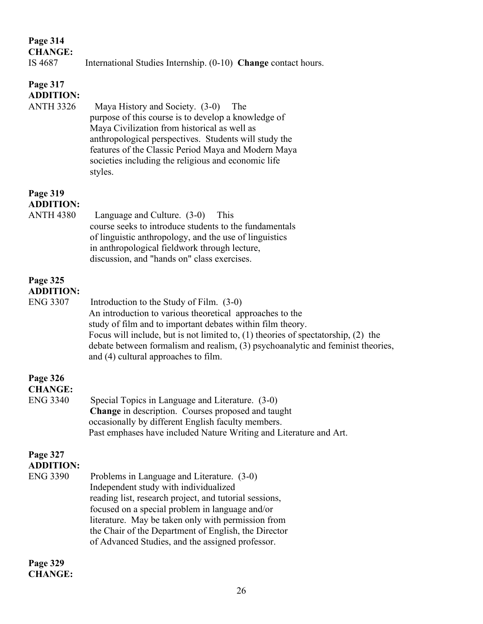| <b>CHANGE:</b><br>IS 4687                        | International Studies Internship. (0-10) Change contact hours.                                                                                                                                                                                                                                                                                                                         |
|--------------------------------------------------|----------------------------------------------------------------------------------------------------------------------------------------------------------------------------------------------------------------------------------------------------------------------------------------------------------------------------------------------------------------------------------------|
| Page 317<br><b>ADDITION:</b><br><b>ANTH 3326</b> | Maya History and Society. (3-0)<br>The<br>purpose of this course is to develop a knowledge of<br>Maya Civilization from historical as well as<br>anthropological perspectives. Students will study the<br>features of the Classic Period Maya and Modern Maya<br>societies including the religious and economic life<br>styles.                                                        |
| Page 319<br><b>ADDITION:</b><br><b>ANTH 4380</b> | Language and Culture. (3-0)<br>This<br>course seeks to introduce students to the fundamentals<br>of linguistic anthropology, and the use of linguistics<br>in anthropological fieldwork through lecture,<br>discussion, and "hands on" class exercises.                                                                                                                                |
| Page 325<br><b>ADDITION:</b><br><b>ENG 3307</b>  | Introduction to the Study of Film. (3-0)<br>An introduction to various theoretical approaches to the<br>study of film and to important debates within film theory.<br>Focus will include, but is not limited to, $(1)$ theories of spectatorship, $(2)$ the<br>debate between formalism and realism, (3) psychoanalytic and feminist theories,<br>and (4) cultural approaches to film. |
| Page 326<br><b>CHANGE:</b><br><b>ENG 3340</b>    | Special Topics in Language and Literature. (3-0)<br>Change in description. Courses proposed and taught<br>occasionally by different English faculty members.<br>Past emphases have included Nature Writing and Literature and Art.                                                                                                                                                     |
| Page 327<br><b>ADDITION:</b><br><b>ENG 3390</b>  | Problems in Language and Literature. (3-0)<br>Independent study with individualized<br>reading list, research project, and tutorial sessions,<br>focused on a special problem in language and/or<br>literature. May be taken only with permission from<br>the Chair of the Department of English, the Director<br>of Advanced Studies, and the assigned professor.                     |

**Page 329 CHANGE:**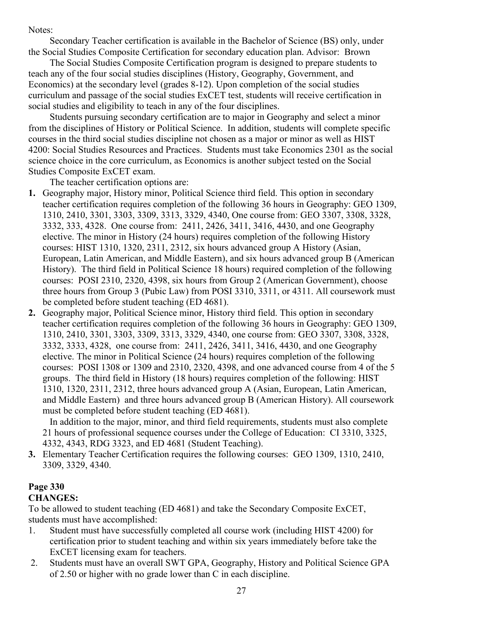Notes:

Secondary Teacher certification is available in the Bachelor of Science (BS) only, under the Social Studies Composite Certification for secondary education plan. Advisor: Brown

The Social Studies Composite Certification program is designed to prepare students to teach any of the four social studies disciplines (History, Geography, Government, and Economics) at the secondary level (grades 8-12). Upon completion of the social studies curriculum and passage of the social studies ExCET test, students will receive certification in social studies and eligibility to teach in any of the four disciplines.

Students pursuing secondary certification are to major in Geography and select a minor from the disciplines of History or Political Science. In addition, students will complete specific courses in the third social studies discipline not chosen as a major or minor as well as HIST 4200: Social Studies Resources and Practices. Students must take Economics 2301 as the social science choice in the core curriculum, as Economics is another subject tested on the Social Studies Composite ExCET exam.

The teacher certification options are:

- **1.** Geography major, History minor, Political Science third field. This option in secondary teacher certification requires completion of the following 36 hours in Geography: GEO 1309, 1310, 2410, 3301, 3303, 3309, 3313, 3329, 4340, One course from: GEO 3307, 3308, 3328, 3332, 333, 4328. One course from: 2411, 2426, 3411, 3416, 4430, and one Geography elective. The minor in History (24 hours) requires completion of the following History courses: HIST 1310, 1320, 2311, 2312, six hours advanced group A History (Asian, European, Latin American, and Middle Eastern), and six hours advanced group B (American History). The third field in Political Science 18 hours) required completion of the following courses: POSI 2310, 2320, 4398, six hours from Group 2 (American Government), choose three hours from Group 3 (Pubic Law) from POSI 3310, 3311, or 4311. All coursework must be completed before student teaching (ED 4681).
- **2.** Geography major, Political Science minor, History third field. This option in secondary teacher certification requires completion of the following 36 hours in Geography: GEO 1309, 1310, 2410, 3301, 3303, 3309, 3313, 3329, 4340, one course from: GEO 3307, 3308, 3328, 3332, 3333, 4328, one course from: 2411, 2426, 3411, 3416, 4430, and one Geography elective. The minor in Political Science (24 hours) requires completion of the following courses: POSI 1308 or 1309 and 2310, 2320, 4398, and one advanced course from 4 of the 5 groups. The third field in History (18 hours) requires completion of the following: HIST 1310, 1320, 2311, 2312, three hours advanced group A (Asian, European, Latin American, and Middle Eastern) and three hours advanced group B (American History). All coursework must be completed before student teaching (ED 4681).

In addition to the major, minor, and third field requirements, students must also complete 21 hours of professional sequence courses under the College of Education: CI 3310, 3325, 4332, 4343, RDG 3323, and ED 4681 (Student Teaching).

**3.** Elementary Teacher Certification requires the following courses: GEO 1309, 1310, 2410, 3309, 3329, 4340.

### **Page 330**

### **CHANGES:**

To be allowed to student teaching (ED 4681) and take the Secondary Composite ExCET, students must have accomplished:

- 1. Student must have successfully completed all course work (including HIST 4200) for certification prior to student teaching and within six years immediately before take the ExCET licensing exam for teachers.
- 2. Students must have an overall SWT GPA, Geography, History and Political Science GPA of 2.50 or higher with no grade lower than C in each discipline.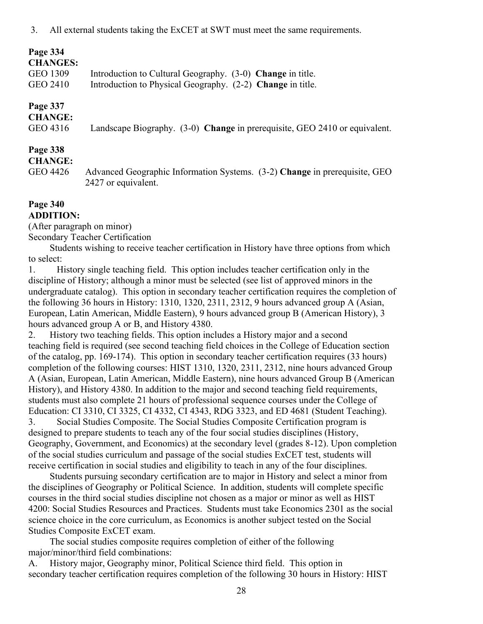| <b>CHANGES:</b> |                                                            |
|-----------------|------------------------------------------------------------|
| GEO 1309        | Introduction to Cultural Geography. (3-0) Change in title. |
| GEO 2410        | Introduction to Physical Geography. (2-2) Change in title. |

### **Page 337**

**CHANGE:** 

GEO 4316 Landscape Biography. (3-0) **Change** in prerequisite, GEO 2410 or equivalent.

#### **Page 338**

#### **CHANGE:**

GEO 4426 Advanced Geographic Information Systems. (3-2) **Change** in prerequisite, GEO 2427 or equivalent.

#### **Page 340 ADDITION:**

(After paragraph on minor) Secondary Teacher Certification

Students wishing to receive teacher certification in History have three options from which to select:

1. History single teaching field. This option includes teacher certification only in the discipline of History; although a minor must be selected (see list of approved minors in the undergraduate catalog). This option in secondary teacher certification requires the completion of the following 36 hours in History: 1310, 1320, 2311, 2312, 9 hours advanced group A (Asian, European, Latin American, Middle Eastern), 9 hours advanced group B (American History), 3 hours advanced group A or B, and History 4380.

2. History two teaching fields. This option includes a History major and a second teaching field is required (see second teaching field choices in the College of Education section of the catalog, pp. 169-174). This option in secondary teacher certification requires (33 hours) completion of the following courses: HIST 1310, 1320, 2311, 2312, nine hours advanced Group A (Asian, European, Latin American, Middle Eastern), nine hours advanced Group B (American History), and History 4380. In addition to the major and second teaching field requirements, students must also complete 21 hours of professional sequence courses under the College of Education: CI 3310, CI 3325, CI 4332, CI 4343, RDG 3323, and ED 4681 (Student Teaching).

3. Social Studies Composite. The Social Studies Composite Certification program is designed to prepare students to teach any of the four social studies disciplines (History, Geography, Government, and Economics) at the secondary level (grades 8-12). Upon completion of the social studies curriculum and passage of the social studies ExCET test, students will receive certification in social studies and eligibility to teach in any of the four disciplines.

Students pursuing secondary certification are to major in History and select a minor from the disciplines of Geography or Political Science. In addition, students will complete specific courses in the third social studies discipline not chosen as a major or minor as well as HIST 4200: Social Studies Resources and Practices. Students must take Economics 2301 as the social science choice in the core curriculum, as Economics is another subject tested on the Social Studies Composite ExCET exam.

The social studies composite requires completion of either of the following major/minor/third field combinations:

A. History major, Geography minor, Political Science third field. This option in secondary teacher certification requires completion of the following 30 hours in History: HIST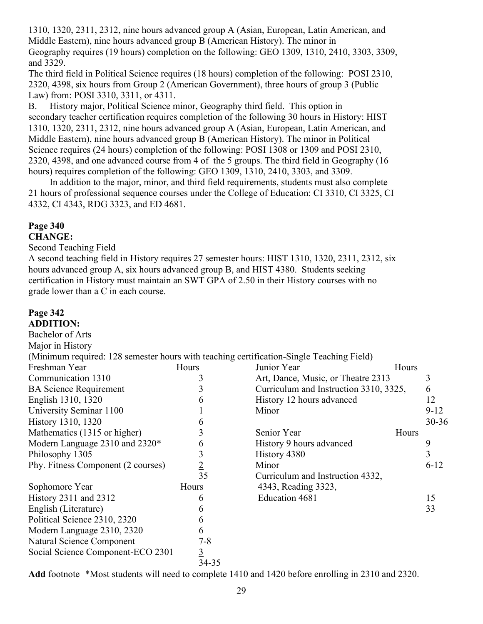1310, 1320, 2311, 2312, nine hours advanced group A (Asian, European, Latin American, and Middle Eastern), nine hours advanced group B (American History). The minor in Geography requires (19 hours) completion on the following: GEO 1309, 1310, 2410, 3303, 3309, and 3329.

The third field in Political Science requires (18 hours) completion of the following: POSI 2310, 2320, 4398, six hours from Group 2 (American Government), three hours of group 3 (Public Law) from: POSI 3310, 3311, or 4311.

B. History major, Political Science minor, Geography third field. This option in secondary teacher certification requires completion of the following 30 hours in History: HIST 1310, 1320, 2311, 2312, nine hours advanced group A (Asian, European, Latin American, and Middle Eastern), nine hours advanced group B (American History). The minor in Political Science requires (24 hours) completion of the following: POSI 1308 or 1309 and POSI 2310, 2320, 4398, and one advanced course from 4 of the 5 groups. The third field in Geography (16 hours) requires completion of the following: GEO 1309, 1310, 2410, 3303, and 3309.

In addition to the major, minor, and third field requirements, students must also complete 21 hours of professional sequence courses under the College of Education: CI 3310, CI 3325, CI 4332, CI 4343, RDG 3323, and ED 4681.

## **Page 340**

## **CHANGE:**

Second Teaching Field

A second teaching field in History requires 27 semester hours: HIST 1310, 1320, 2311, 2312, six hours advanced group A, six hours advanced group B, and HIST 4380. Students seeking certification in History must maintain an SWT GPA of 2.50 in their History courses with no grade lower than a C in each course.

#### **Page 342 ADDITION:**

Bachelor of Arts Major in History (Minimum required: 128 semester hours with teaching certification-Single Teaching Field) Freshman Year Hours Communication 1310 3 BA Science Requirement 3 English 1310, 1320 6 University Seminar 1100 1 History 1310, 1320 6 Mathematics (1315 or higher) 3 Modern Language 2310 and 2320\* 6 Philosophy 1305 3<br>Phy. Fitness Component (2 courses) 2 Phy. Fitness Component (2 courses) 2 35 Sophomore Year Hours History 2311 and 2312 6 English (Literature) 6 Political Science 2310, 2320 6 Modern Language 2310, 2320 6 Natural Science Component 7-8 Social Science Component-ECO 2301 3 34-35 Junior Year **Hours** Art, Dance, Music, or Theatre 2313 Curriculum and Instruction 3310, 3325, 6 History 12 hours advanced 12 Minor  $9-12$ 30-36 Senior Year Hours History 9 hours advanced 9  $H$ istory 4380  $\overline{3}$ Minor  $6-12$ Curriculum and Instruction 4332, 4343, Reading 3323, Education  $4681$  15 33

**Add** footnote \*Most students will need to complete 1410 and 1420 before enrolling in 2310 and 2320.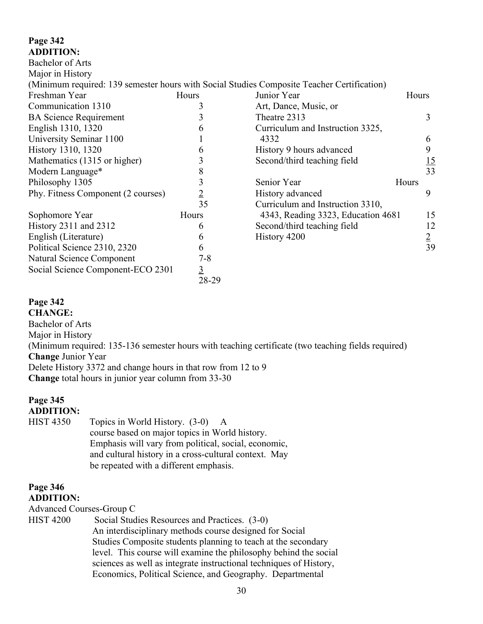### **Page 342 ADDITION:**

| <b>Bachelor of Arts</b>            |                |                                                                                            |       |                 |
|------------------------------------|----------------|--------------------------------------------------------------------------------------------|-------|-----------------|
| Major in History                   |                |                                                                                            |       |                 |
|                                    |                | (Minimum required: 139 semester hours with Social Studies Composite Teacher Certification) |       |                 |
| Freshman Year                      | Hours          | Junior Year                                                                                | Hours |                 |
| Communication 1310                 |                | Art, Dance, Music, or                                                                      |       |                 |
| <b>BA Science Requirement</b>      |                | Theatre 2313                                                                               |       | 3               |
| English 1310, 1320                 |                | Curriculum and Instruction 3325,                                                           |       |                 |
| University Seminar 1100            |                | 4332                                                                                       |       | 6               |
| History 1310, 1320                 |                | History 9 hours advanced                                                                   |       | 9               |
| Mathematics (1315 or higher)       |                | Second/third teaching field                                                                |       | $\frac{15}{33}$ |
| Modern Language*                   |                |                                                                                            |       |                 |
| Philosophy 1305                    |                | Senior Year                                                                                | Hours |                 |
| Phy. Fitness Component (2 courses) | $\overline{2}$ | History advanced                                                                           |       | 9               |
|                                    | 35             | Curriculum and Instruction 3310,                                                           |       |                 |
| Sophomore Year                     | Hours          | 4343, Reading 3323, Education 4681                                                         |       | 15              |
| History 2311 and 2312              | 6              | Second/third teaching field                                                                |       | 12              |
| English (Literature)               | 6              | History 4200                                                                               |       | $\overline{2}$  |
| Political Science 2310, 2320       | 6              |                                                                                            |       | 39              |
| Natural Science Component          | $7 - 8$        |                                                                                            |       |                 |
| Social Science Component-ECO 2301  | $\overline{3}$ |                                                                                            |       |                 |

#### **Page 342**

**CHANGE:**  Bachelor of Arts Major in History (Minimum required: 135-136 semester hours with teaching certificate (two teaching fields required) **Change** Junior Year Delete History 3372 and change hours in that row from 12 to 9 **Change** total hours in junior year column from 33-30

28-29

### **Page 345 ADDITION:**

HIST 4350 Topics in World History. (3-0) A course based on major topics in World history. Emphasis will vary from political, social, economic, and cultural history in a cross-cultural context. May be repeated with a different emphasis.

#### **Page 346 ADDITION:**

Advanced Courses-Group C

HIST 4200 Social Studies Resources and Practices. (3-0) An interdisciplinary methods course designed for Social Studies Composite students planning to teach at the secondary level. This course will examine the philosophy behind the social sciences as well as integrate instructional techniques of History, Economics, Political Science, and Geography. Departmental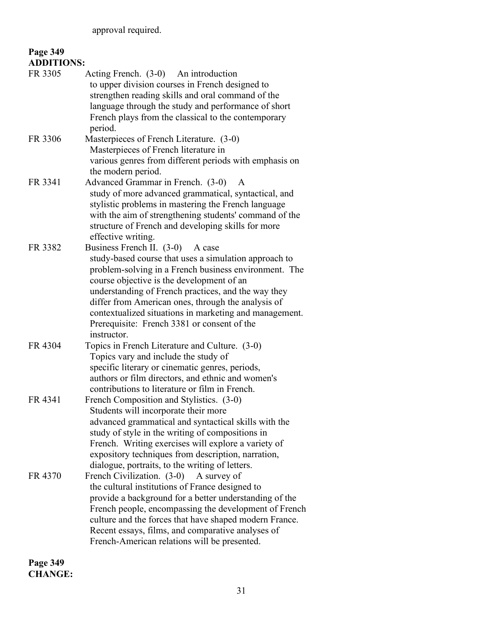| <b>ADDITIONS:</b> |                                                                                                                                                                                                                                                                                                                                                                                                                                         |
|-------------------|-----------------------------------------------------------------------------------------------------------------------------------------------------------------------------------------------------------------------------------------------------------------------------------------------------------------------------------------------------------------------------------------------------------------------------------------|
| FR 3305           | Acting French. (3-0) An introduction<br>to upper division courses in French designed to<br>strengthen reading skills and oral command of the<br>language through the study and performance of short<br>French plays from the classical to the contemporary<br>period.                                                                                                                                                                   |
| FR 3306           | Masterpieces of French Literature. (3-0)<br>Masterpieces of French literature in<br>various genres from different periods with emphasis on<br>the modern period.                                                                                                                                                                                                                                                                        |
| FR 3341           | Advanced Grammar in French. (3-0)<br>A<br>study of more advanced grammatical, syntactical, and<br>stylistic problems in mastering the French language<br>with the aim of strengthening students' command of the<br>structure of French and developing skills for more<br>effective writing.                                                                                                                                             |
| FR 3382           | Business French II. (3-0)<br>A case<br>study-based course that uses a simulation approach to<br>problem-solving in a French business environment. The<br>course objective is the development of an<br>understanding of French practices, and the way they<br>differ from American ones, through the analysis of<br>contextualized situations in marketing and management.<br>Prerequisite: French 3381 or consent of the<br>instructor. |
| FR 4304           | Topics in French Literature and Culture. (3-0)<br>Topics vary and include the study of<br>specific literary or cinematic genres, periods,<br>authors or film directors, and ethnic and women's<br>contributions to literature or film in French.                                                                                                                                                                                        |
| FR 4341           | French Composition and Stylistics. (3-0)<br>Students will incorporate their more<br>advanced grammatical and syntactical skills with the<br>study of style in the writing of compositions in<br>French. Writing exercises will explore a variety of<br>expository techniques from description, narration,<br>dialogue, portraits, to the writing of letters.                                                                            |
| FR 4370           | French Civilization. (3-0)<br>A survey of<br>the cultural institutions of France designed to<br>provide a background for a better understanding of the<br>French people, encompassing the development of French<br>culture and the forces that have shaped modern France.<br>Recent essays, films, and comparative analyses of<br>French-American relations will be presented.                                                          |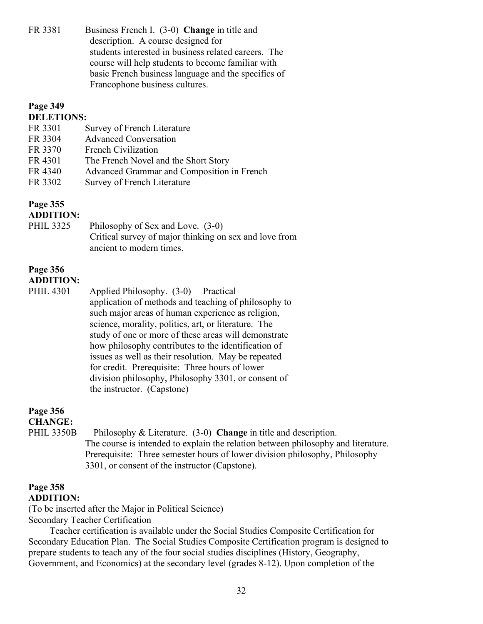FR 3381 Business French I. (3-0) **Change** in title and description. A course designed for students interested in business related careers. The course will help students to become familiar with basic French business language and the specifics of Francophone business cultures.

### **Page 349 DELETIONS:**  FR 3301 Survey of French Literature FR 3304 Advanced Conversation FR 3370 French Civilization FR 4301 The French Novel and the Short Story FR 4340 Advanced Grammar and Composition in French FR 3302 Survey of French Literature **Page 355 ADDITION:** PHIL 3325 Philosophy of Sex and Love. (3-0) Critical survey of major thinking on sex and love from ancient to modern times. **Page 356 ADDITION:** PHIL 4301 Applied Philosophy. (3-0) Practical application of methods and teaching of philosophy to such major areas of human experience as religion, science, morality, politics, art, or literature. The study of one or more of these areas will demonstrate how philosophy contributes to the identification of issues as well as their resolution. May be repeated for credit. Prerequisite: Three hours of lower division philosophy, Philosophy 3301, or consent of the instructor. (Capstone) **Page 356**

**CHANGE:** 

PHIL 3350B Philosophy & Literature. (3-0) **Change** in title and description. The course is intended to explain the relation between philosophy and literature. Prerequisite: Three semester hours of lower division philosophy, Philosophy 3301, or consent of the instructor (Capstone).

#### **Page 358 ADDITION:**

(To be inserted after the Major in Political Science) Secondary Teacher Certification

Teacher certification is available under the Social Studies Composite Certification for Secondary Education Plan. The Social Studies Composite Certification program is designed to prepare students to teach any of the four social studies disciplines (History, Geography, Government, and Economics) at the secondary level (grades 8-12). Upon completion of the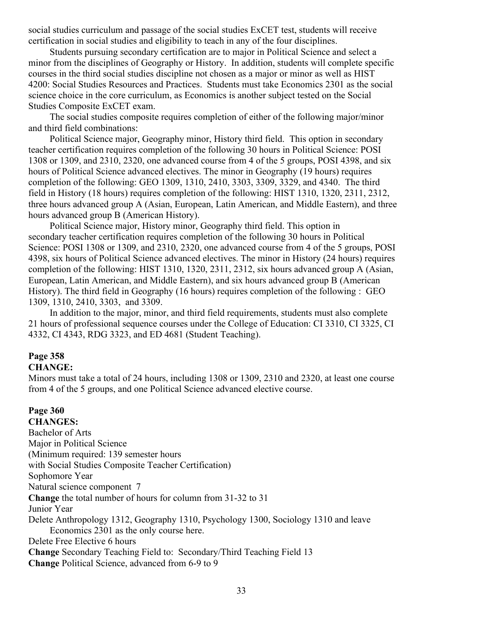social studies curriculum and passage of the social studies ExCET test, students will receive certification in social studies and eligibility to teach in any of the four disciplines.

Students pursuing secondary certification are to major in Political Science and select a minor from the disciplines of Geography or History. In addition, students will complete specific courses in the third social studies discipline not chosen as a major or minor as well as HIST 4200: Social Studies Resources and Practices. Students must take Economics 2301 as the social science choice in the core curriculum, as Economics is another subject tested on the Social Studies Composite ExCET exam.

The social studies composite requires completion of either of the following major/minor and third field combinations:

Political Science major, Geography minor, History third field. This option in secondary teacher certification requires completion of the following 30 hours in Political Science: POSI 1308 or 1309, and 2310, 2320, one advanced course from 4 of the 5 groups, POSI 4398, and six hours of Political Science advanced electives. The minor in Geography (19 hours) requires completion of the following: GEO 1309, 1310, 2410, 3303, 3309, 3329, and 4340. The third field in History (18 hours) requires completion of the following: HIST 1310, 1320, 2311, 2312, three hours advanced group A (Asian, European, Latin American, and Middle Eastern), and three hours advanced group B (American History).

Political Science major, History minor, Geography third field. This option in secondary teacher certification requires completion of the following 30 hours in Political Science: POSI 1308 or 1309, and 2310, 2320, one advanced course from 4 of the 5 groups, POSI 4398, six hours of Political Science advanced electives. The minor in History (24 hours) requires completion of the following: HIST 1310, 1320, 2311, 2312, six hours advanced group A (Asian, European, Latin American, and Middle Eastern), and six hours advanced group B (American History). The third field in Geography (16 hours) requires completion of the following : GEO 1309, 1310, 2410, 3303, and 3309.

In addition to the major, minor, and third field requirements, students must also complete 21 hours of professional sequence courses under the College of Education: CI 3310, CI 3325, CI 4332, CI 4343, RDG 3323, and ED 4681 (Student Teaching).

#### **Page 358**

#### **CHANGE:**

Minors must take a total of 24 hours, including 1308 or 1309, 2310 and 2320, at least one course from 4 of the 5 groups, and one Political Science advanced elective course.

#### **Page 360**

**CHANGES:** Bachelor of Arts Major in Political Science (Minimum required: 139 semester hours with Social Studies Composite Teacher Certification) Sophomore Year Natural science component 7 **Change** the total number of hours for column from 31-32 to 31 Junior Year Delete Anthropology 1312, Geography 1310, Psychology 1300, Sociology 1310 and leave Economics 2301 as the only course here. Delete Free Elective 6 hours **Change** Secondary Teaching Field to: Secondary/Third Teaching Field 13 **Change** Political Science, advanced from 6-9 to 9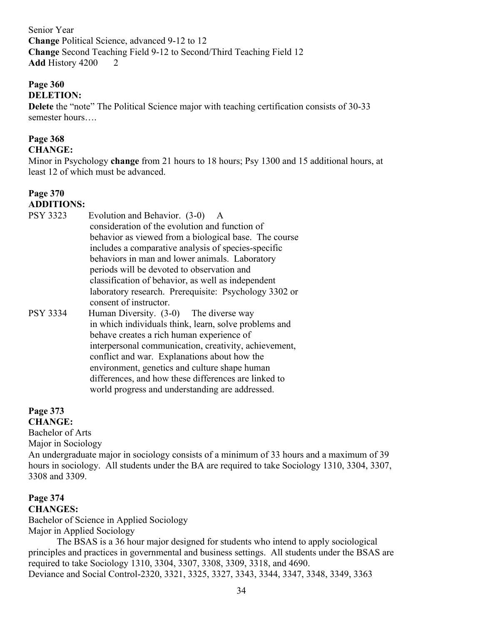Senior Year **Change** Political Science, advanced 9-12 to 12 **Change** Second Teaching Field 9-12 to Second/Third Teaching Field 12 **Add History 4200 2** 

### **Page 360**

### **DELETION:**

**Delete** the "note" The Political Science major with teaching certification consists of 30-33 semester hours….

## **Page 368**

### **CHANGE:**

Minor in Psychology **change** from 21 hours to 18 hours; Psy 1300 and 15 additional hours, at least 12 of which must be advanced.

#### **Page 370 ADDITIONS:**

| <b>PSY 3323</b> | Evolution and Behavior. (3-0) A                       |
|-----------------|-------------------------------------------------------|
|                 | consideration of the evolution and function of        |
|                 | behavior as viewed from a biological base. The course |
|                 | includes a comparative analysis of species-specific   |
|                 | behaviors in man and lower animals. Laboratory        |
|                 | periods will be devoted to observation and            |
|                 | classification of behavior, as well as independent    |
|                 | laboratory research. Prerequisite: Psychology 3302 or |
|                 | consent of instructor.                                |
| <b>PSY 3334</b> | Human Diversity. $(3-0)$ The diverse way              |
|                 | in which individuals think, learn, solve problems and |
|                 | behave creates a rich human experience of             |
|                 | interpersonal communication, creativity, achievement, |
|                 | conflict and war. Explanations about how the          |
|                 | environment, genetics and culture shape human         |
|                 | differences, and how these differences are linked to  |
|                 | world progress and understanding are addressed.       |

## **Page 373**

**CHANGE:** Bachelor of Arts

Major in Sociology

An undergraduate major in sociology consists of a minimum of 33 hours and a maximum of 39 hours in sociology. All students under the BA are required to take Sociology 1310, 3304, 3307, 3308 and 3309.

## **Page 374**

**CHANGES:** Bachelor of Science in Applied Sociology Major in Applied Sociology

The BSAS is a 36 hour major designed for students who intend to apply sociological principles and practices in governmental and business settings. All students under the BSAS are required to take Sociology 1310, 3304, 3307, 3308, 3309, 3318, and 4690. Deviance and Social Control-2320, 3321, 3325, 3327, 3343, 3344, 3347, 3348, 3349, 3363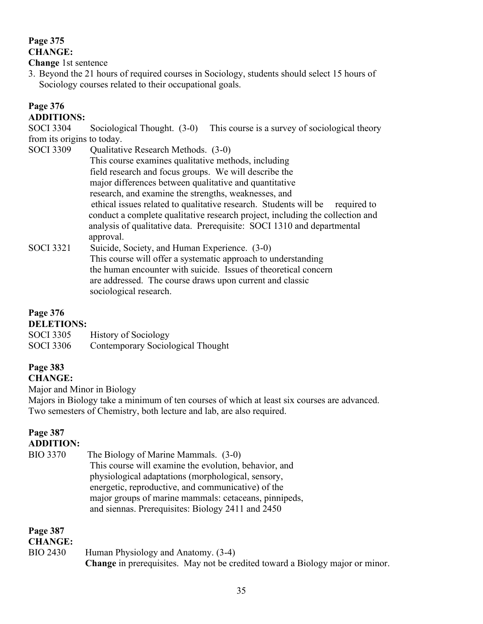### **Page 375 CHANGE:**

**Change** 1st sentence

3. Beyond the 21 hours of required courses in Sociology, students should select 15 hours of Sociology courses related to their occupational goals.

### **Page 376**

#### **ADDITIONS:**

SOCI 3304 Sociological Thought. (3-0) This course is a survey of sociological theory from its origins to today.

SOCI 3309 Qualitative Research Methods. (3-0) This course examines qualitative methods, including field research and focus groups. We will describe the major differences between qualitative and quantitative research, and examine the strengths, weaknesses, and ethical issues related to qualitative research. Students will be required to conduct a complete qualitative research project, including the collection and analysis of qualitative data. Prerequisite: SOCI 1310 and departmental approval. SOCI 3321 Suicide, Society, and Human Experience. (3-0)

 This course will offer a systematic approach to understanding the human encounter with suicide. Issues of theoretical concern are addressed. The course draws upon current and classic sociological research.

### **Page 376**

### **DELETIONS:**

| <b>SOCI</b> 3305 | <b>History of Sociology</b>       |
|------------------|-----------------------------------|
| <b>SOCI</b> 3306 | Contemporary Sociological Thought |

## **Page 383**

**CHANGE:**

Major and Minor in Biology

Majors in Biology take a minimum of ten courses of which at least six courses are advanced. Two semesters of Chemistry, both lecture and lab, are also required.

#### **Page 387 ADDITION:**

BIO 3370 The Biology of Marine Mammals. (3-0) This course will examine the evolution, behavior, and physiological adaptations (morphological, sensory, energetic, reproductive, and communicative) of the major groups of marine mammals: cetaceans, pinnipeds, and siennas. Prerequisites: Biology 2411 and 2450

### **Page 387**

### **CHANGE:**

BIO 2430 Human Physiology and Anatomy. (3-4) **Change** in prerequisites. May not be credited toward a Biology major or minor.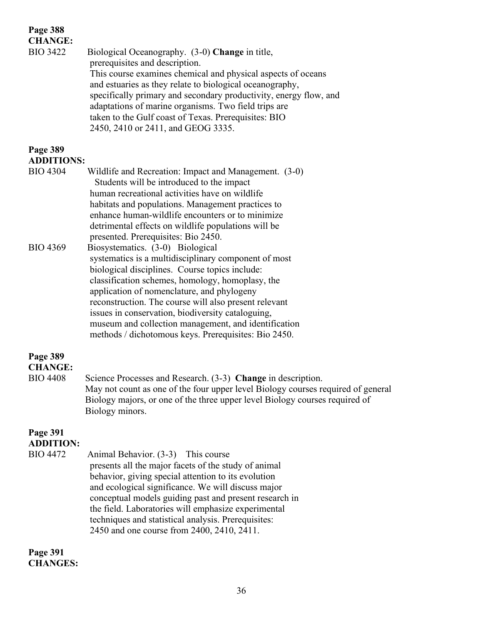### **Page 388 CHANGE:**  BIO 3422 Biological Oceanography. (3-0) **Change** in title, prerequisites and description. This course examines chemical and physical aspects of oceans and estuaries as they relate to biological oceanography, specifically primary and secondary productivity, energy flow, and adaptations of marine organisms. Two field trips are taken to the Gulf coast of Texas. Prerequisites: BIO 2450, 2410 or 2411, and GEOG 3335. **Page 389 ADDITIONS:** BIO 4304 Wildlife and Recreation: Impact and Management. (3-0) Students will be introduced to the impact human recreational activities have on wildlife habitats and populations. Management practices to enhance human-wildlife encounters or to minimize detrimental effects on wildlife populations will be presented. Prerequisites: Bio 2450. BIO 4369 Biosystematics. (3-0) Biological systematics is a multidisciplinary component of most biological disciplines. Course topics include: classification schemes, homology, homoplasy, the application of nomenclature, and phylogeny reconstruction. The course will also present relevant issues in conservation, biodiversity cataloguing, museum and collection management, and identification methods / dichotomous keys. Prerequisites: Bio 2450. **Page 389 CHANGE:** BIO 4408 Science Processes and Research. (3-3) **Change** in description.

May not count as one of the four upper level Biology courses required of general Biology majors, or one of the three upper level Biology courses required of Biology minors.

#### **Page 391 ADDITION:**

| <b>BIO 4472</b> | Animal Behavior. (3-3) This course                     |
|-----------------|--------------------------------------------------------|
|                 | presents all the major facets of the study of animal   |
|                 | behavior, giving special attention to its evolution    |
|                 | and ecological significance. We will discuss major     |
|                 | conceptual models guiding past and present research in |
|                 | the field. Laboratories will emphasize experimental    |
|                 | techniques and statistical analysis. Prerequisites:    |
|                 | 2450 and one course from 2400, 2410, 2411.             |

**Page 391 CHANGES:**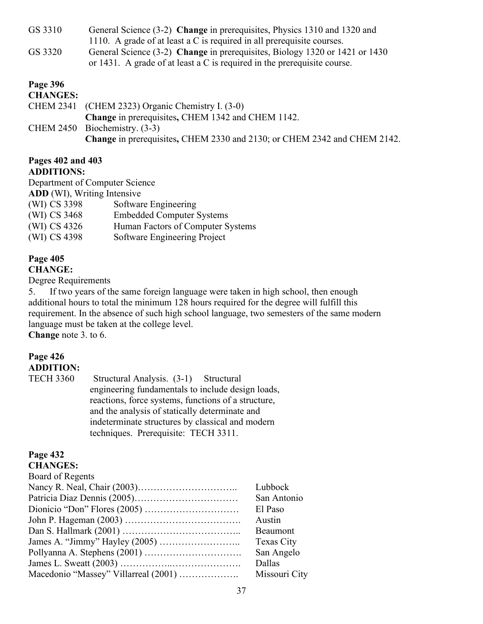GS 3310 General Science (3-2) **Change** in prerequisites, Physics 1310 and 1320 and 1110. A grade of at least a C is required in all prerequisite courses. GS 3320 General Science (3-2) **Change** in prerequisites, Biology 1320 or 1421 or 1430 or 1431. A grade of at least a C is required in the prerequisite course.

#### **Page 396**

| <b>CHANGES:</b> |                                                                          |
|-----------------|--------------------------------------------------------------------------|
|                 | CHEM 2341 (CHEM 2323) Organic Chemistry I. (3-0)                         |
|                 | Change in prerequisites, CHEM 1342 and CHEM 1142.                        |
|                 | CHEM $2450$ Biochemistry. $(3-3)$                                        |
|                 | Change in prerequisites, CHEM 2330 and 2130; or CHEM 2342 and CHEM 2142. |

#### **Pages 402 and 403 ADDITIONS:**

Department of Computer Science **ADD** (WI), Writing Intensive

| (WI) CS 3398 | Software Engineering              |
|--------------|-----------------------------------|
| (WI) CS 3468 | <b>Embedded Computer Systems</b>  |
| (WI) CS 4326 | Human Factors of Computer Systems |
| (WI) CS 4398 | Software Engineering Project      |

#### **Page 405 CHANGE:**

Degree Requirements

5. If two years of the same foreign language were taken in high school, then enough additional hours to total the minimum 128 hours required for the degree will fulfill this requirement. In the absence of such high school language, two semesters of the same modern language must be taken at the college level. **Change** note 3. to 6.

#### **Page 426 ADDITION:**

TECH 3360 Structural Analysis. (3-1) Structural engineering fundamentals to include design loads, reactions, force systems, functions of a structure, and the analysis of statically determinate and indeterminate structures by classical and modern techniques. Prerequisite: TECH 3311.

## **Page 432**

**CHANGES:** Board of Regents Nancy R. Neal, Chair (2003)………………………….. Lubbock Patricia Diaz Dennis (2005)…………………………… San Antonio Dionicio ―Don‖ Flores (2005) ………………………… El Paso John P. Hageman (2003) ………………………………. Austin Dan S. Hallmark (2001) ……………………………….. Beaumont James A. ―Jimmy‖ Hayley (2005) …………………….. Texas City Pollyanna A. Stephens (2001) …………………………. San Angelo James L. Sweatt (2003) ……………..…………………. Dallas Macedonio "Massey" Villarreal (2001) ……………………… Missouri City